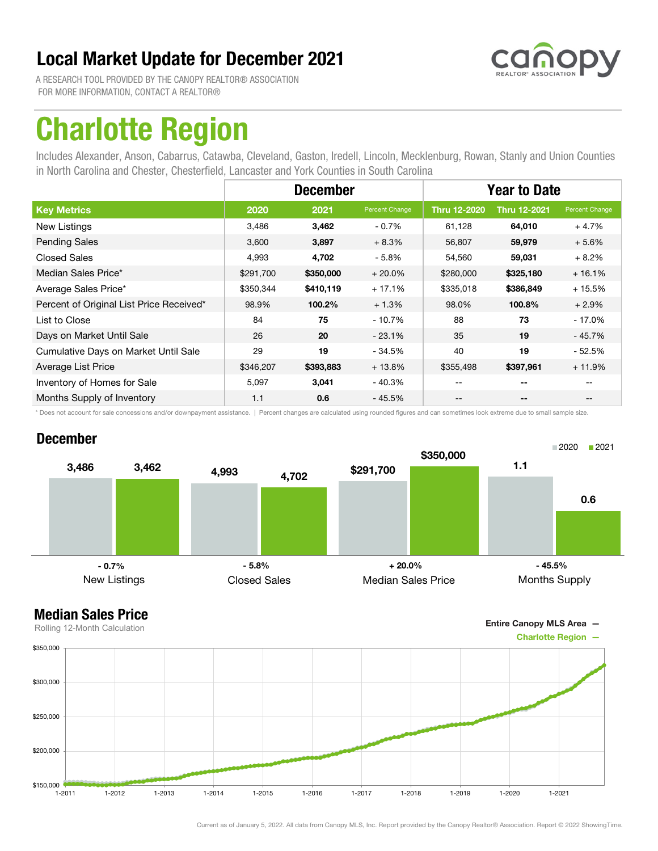

A RESEARCH TOOL PROVIDED BY THE CANOPY REALTOR® ASSOCIATION FOR MORE INFORMATION, CONTACT A REALTOR®

## Charlotte Region

Includes Alexander, Anson, Cabarrus, Catawba, Cleveland, Gaston, Iredell, Lincoln, Mecklenburg, Rowan, Stanly and Union Counties in North Carolina and Chester, Chesterfield, Lancaster and York Counties in South Carolina

|                                          | <b>December</b> |           |                | <b>Year to Date</b>                   |                          |                |
|------------------------------------------|-----------------|-----------|----------------|---------------------------------------|--------------------------|----------------|
| <b>Key Metrics</b>                       | 2020            | 2021      | Percent Change | <b>Thru 12-2020</b>                   | <b>Thru 12-2021</b>      | Percent Change |
| New Listings                             | 3,486           | 3,462     | $-0.7%$        | 61,128                                | 64,010                   | $+4.7%$        |
| <b>Pending Sales</b>                     | 3,600           | 3,897     | $+8.3%$        | 56,807                                | 59,979                   | $+5.6%$        |
| <b>Closed Sales</b>                      | 4,993           | 4,702     | $-5.8%$        | 54,560                                | 59,031                   | $+8.2%$        |
| Median Sales Price*                      | \$291,700       | \$350,000 | $+20.0\%$      | \$280,000                             | \$325,180                | $+16.1%$       |
| Average Sales Price*                     | \$350,344       | \$410,119 | $+17.1%$       | \$335,018                             | \$386,849                | $+15.5%$       |
| Percent of Original List Price Received* | 98.9%           | 100.2%    | $+1.3%$        | 98.0%                                 | 100.8%                   | $+2.9%$        |
| List to Close                            | 84              | 75        | $-10.7%$       | 88                                    | 73                       | - 17.0%        |
| Days on Market Until Sale                | 26              | 20        | $-23.1%$       | 35                                    | 19                       | - 45.7%        |
| Cumulative Days on Market Until Sale     | 29              | 19        | $-34.5%$       | 40                                    | 19                       | - 52.5%        |
| Average List Price                       | \$346,207       | \$393,883 | $+13.8%$       | \$355,498                             | \$397,961                | $+11.9%$       |
| Inventory of Homes for Sale              | 5,097           | 3,041     | $-40.3%$       |                                       | $- -$                    |                |
| Months Supply of Inventory               | 1.1             | 0.6       | $-45.5%$       | $\hspace{0.05cm}$ – $\hspace{0.05cm}$ | $\overline{\phantom{a}}$ | $- -$          |

\* Does not account for sale concessions and/or downpayment assistance. | Percent changes are calculated using rounded figures and can sometimes look extreme due to small sample size.

#### December



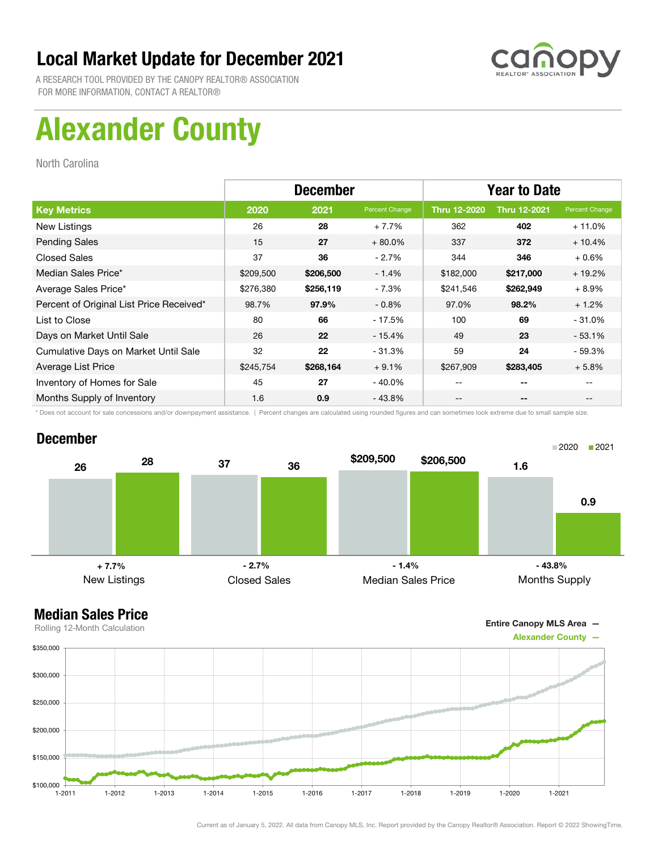

A RESEARCH TOOL PROVIDED BY THE CANOPY REALTOR® ASSOCIATION FOR MORE INFORMATION, CONTACT A REALTOR®

# Alexander County

North Carolina

|                                          | <b>December</b> |           |                | <b>Year to Date</b> |                     |                |
|------------------------------------------|-----------------|-----------|----------------|---------------------|---------------------|----------------|
| <b>Key Metrics</b>                       | 2020            | 2021      | Percent Change | <b>Thru 12-2020</b> | <b>Thru 12-2021</b> | Percent Change |
| New Listings                             | 26              | 28        | $+7.7%$        | 362                 | 402                 | $+11.0%$       |
| <b>Pending Sales</b>                     | 15              | 27        | $+80.0\%$      | 337                 | 372                 | $+10.4%$       |
| <b>Closed Sales</b>                      | 37              | 36        | $-2.7\%$       | 344                 | 346                 | $+0.6%$        |
| Median Sales Price*                      | \$209,500       | \$206,500 | $-1.4%$        | \$182,000           | \$217,000           | $+19.2%$       |
| Average Sales Price*                     | \$276,380       | \$256,119 | - 7.3%         | \$241,546           | \$262,949           | $+8.9%$        |
| Percent of Original List Price Received* | 98.7%           | 97.9%     | $-0.8\%$       | 97.0%               | 98.2%               | $+1.2%$        |
| List to Close                            | 80              | 66        | - 17.5%        | 100                 | 69                  | $-31.0%$       |
| Days on Market Until Sale                | 26              | 22        | $-15.4%$       | 49                  | 23                  | $-53.1%$       |
| Cumulative Days on Market Until Sale     | 32              | 22        | $-31.3%$       | 59                  | 24                  | $-59.3%$       |
| Average List Price                       | \$245,754       | \$268,164 | $+9.1%$        | \$267,909           | \$283,405           | $+5.8%$        |
| Inventory of Homes for Sale              | 45              | 27        | $-40.0\%$      |                     | --                  |                |
| Months Supply of Inventory               | 1.6             | 0.9       | $-43.8%$       | --                  | --                  |                |

\* Does not account for sale concessions and/or downpayment assistance. | Percent changes are calculated using rounded figures and can sometimes look extreme due to small sample size.

#### December



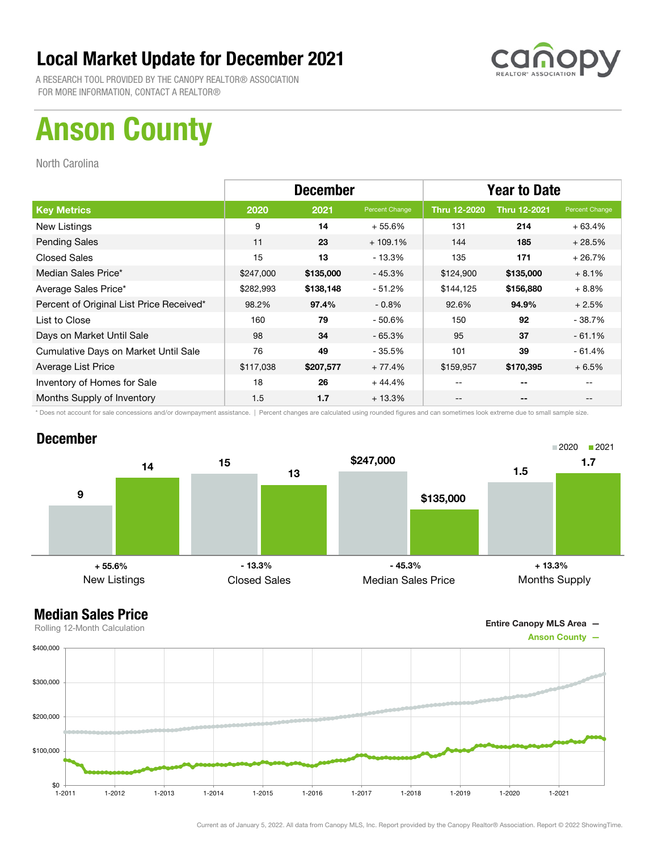

A RESEARCH TOOL PROVIDED BY THE CANOPY REALTOR® ASSOCIATION FOR MORE INFORMATION, CONTACT A REALTOR®

# Anson County

North Carolina

|                                          | <b>December</b> |           |                | <b>Year to Date</b> |                     |                |
|------------------------------------------|-----------------|-----------|----------------|---------------------|---------------------|----------------|
| <b>Key Metrics</b>                       | 2020            | 2021      | Percent Change | <b>Thru 12-2020</b> | <b>Thru 12-2021</b> | Percent Change |
| New Listings                             | 9               | 14        | $+55.6%$       | 131                 | 214                 | $+63.4%$       |
| <b>Pending Sales</b>                     | 11              | 23        | $+109.1%$      | 144                 | 185                 | $+28.5%$       |
| <b>Closed Sales</b>                      | 15              | 13        | $-13.3%$       | 135                 | 171                 | $+26.7%$       |
| Median Sales Price*                      | \$247,000       | \$135,000 | $-45.3%$       | \$124,900           | \$135,000           | $+8.1%$        |
| Average Sales Price*                     | \$282,993       | \$138,148 | $-51.2%$       | \$144,125           | \$156,880           | $+8.8%$        |
| Percent of Original List Price Received* | 98.2%           | 97.4%     | $-0.8\%$       | 92.6%               | 94.9%               | $+2.5%$        |
| List to Close                            | 160             | 79        | $-50.6%$       | 150                 | 92                  | $-38.7%$       |
| Days on Market Until Sale                | 98              | 34        | $-65.3%$       | 95                  | 37                  | $-61.1%$       |
| Cumulative Days on Market Until Sale     | 76              | 49        | - 35.5%        | 101                 | 39                  | $-61.4%$       |
| Average List Price                       | \$117,038       | \$207,577 | $+77.4%$       | \$159,957           | \$170,395           | $+6.5%$        |
| Inventory of Homes for Sale              | 18              | 26        | $+44.4%$       | --                  | --                  |                |
| Months Supply of Inventory               | 1.5             | 1.7       | $+13.3%$       | --                  | --                  |                |

\* Does not account for sale concessions and/or downpayment assistance. | Percent changes are calculated using rounded figures and can sometimes look extreme due to small sample size.

#### December



Entire Canopy MLS Area —

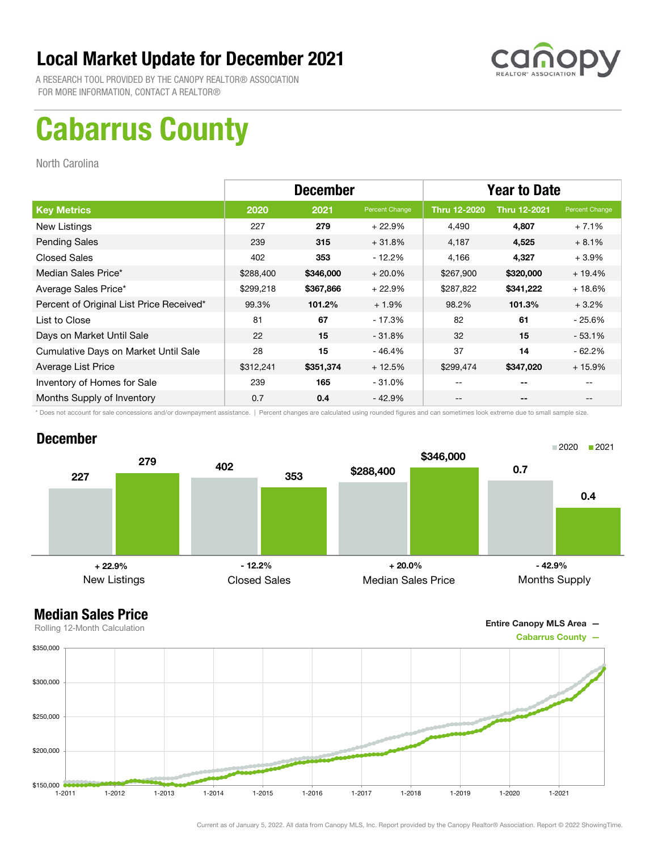

A RESEARCH TOOL PROVIDED BY THE CANOPY REALTOR® ASSOCIATION FOR MORE INFORMATION, CONTACT A REALTOR®

## Cabarrus County

North Carolina

|                                          | <b>December</b> |           |                | <b>Year to Date</b> |                     |                |
|------------------------------------------|-----------------|-----------|----------------|---------------------|---------------------|----------------|
| <b>Key Metrics</b>                       | 2020            | 2021      | Percent Change | Thru 12-2020        | <b>Thru 12-2021</b> | Percent Change |
| New Listings                             | 227             | 279       | $+22.9%$       | 4,490               | 4,807               | $+7.1%$        |
| <b>Pending Sales</b>                     | 239             | 315       | $+31.8%$       | 4,187               | 4,525               | $+8.1%$        |
| <b>Closed Sales</b>                      | 402             | 353       | $-12.2%$       | 4,166               | 4,327               | $+3.9\%$       |
| Median Sales Price*                      | \$288,400       | \$346,000 | $+20.0%$       | \$267,900           | \$320,000           | $+19.4%$       |
| Average Sales Price*                     | \$299,218       | \$367,866 | $+22.9%$       | \$287,822           | \$341,222           | $+18.6%$       |
| Percent of Original List Price Received* | 99.3%           | 101.2%    | $+1.9%$        | 98.2%               | 101.3%              | $+3.2%$        |
| List to Close                            | 81              | 67        | $-17.3%$       | 82                  | 61                  | - 25.6%        |
| Days on Market Until Sale                | 22              | 15        | $-31.8%$       | 32                  | 15                  | $-53.1%$       |
| Cumulative Days on Market Until Sale     | 28              | 15        | $-46.4%$       | 37                  | 14                  | $-62.2%$       |
| Average List Price                       | \$312,241       | \$351,374 | $+12.5%$       | \$299,474           | \$347,020           | $+15.9%$       |
| Inventory of Homes for Sale              | 239             | 165       | $-31.0\%$      | --                  | --                  |                |
| Months Supply of Inventory               | 0.7             | 0.4       | $-42.9%$       | --                  | --                  |                |

\* Does not account for sale concessions and/or downpayment assistance. | Percent changes are calculated using rounded figures and can sometimes look extreme due to small sample size.

#### December



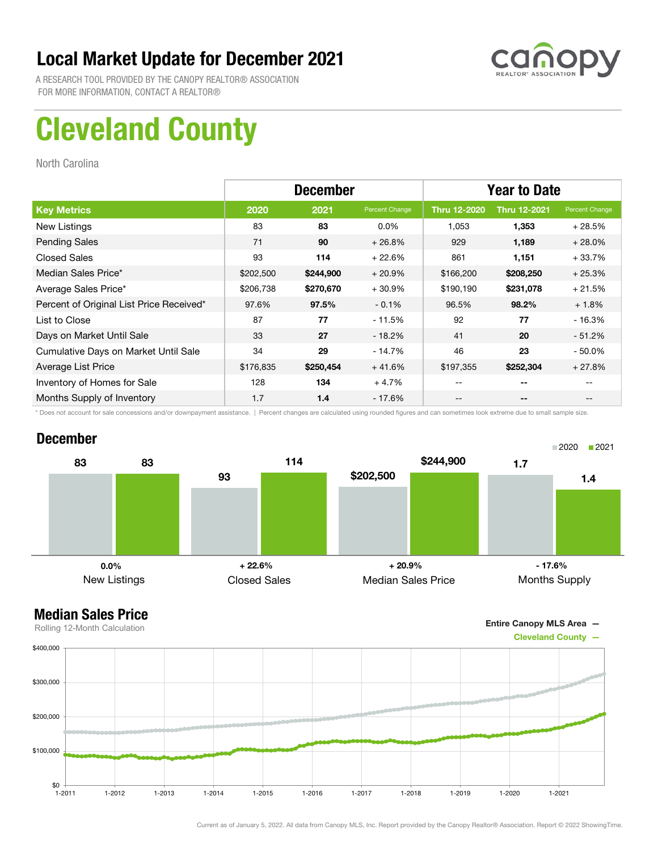

A RESEARCH TOOL PROVIDED BY THE CANOPY REALTOR® ASSOCIATION FOR MORE INFORMATION, CONTACT A REALTOR®

# Cleveland County

North Carolina

|                                          | <b>December</b> |           |                | <b>Year to Date</b> |                     |                |
|------------------------------------------|-----------------|-----------|----------------|---------------------|---------------------|----------------|
| <b>Key Metrics</b>                       | 2020            | 2021      | Percent Change | <b>Thru 12-2020</b> | <b>Thru 12-2021</b> | Percent Change |
| New Listings                             | 83              | 83        | $0.0\%$        | 1,053               | 1,353               | $+28.5%$       |
| <b>Pending Sales</b>                     | 71              | 90        | $+26.8%$       | 929                 | 1,189               | $+28.0%$       |
| <b>Closed Sales</b>                      | 93              | 114       | $+22.6%$       | 861                 | 1,151               | $+33.7%$       |
| Median Sales Price*                      | \$202,500       | \$244,900 | $+20.9%$       | \$166,200           | \$208,250           | $+25.3%$       |
| Average Sales Price*                     | \$206,738       | \$270,670 | $+30.9%$       | \$190,190           | \$231,078           | $+21.5%$       |
| Percent of Original List Price Received* | 97.6%           | 97.5%     | $-0.1%$        | 96.5%               | 98.2%               | $+1.8%$        |
| List to Close                            | 87              | 77        | $-11.5%$       | 92                  | 77                  | $-16.3%$       |
| Days on Market Until Sale                | 33              | 27        | $-18.2%$       | 41                  | 20                  | $-51.2\%$      |
| Cumulative Days on Market Until Sale     | 34              | 29        | $-14.7%$       | 46                  | 23                  | $-50.0\%$      |
| Average List Price                       | \$176,835       | \$250,454 | $+41.6%$       | \$197,355           | \$252,304           | $+27.8%$       |
| Inventory of Homes for Sale              | 128             | 134       | $+4.7%$        |                     | --                  |                |
| Months Supply of Inventory               | 1.7             | 1.4       | - 17.6%        | --                  | --                  |                |

\* Does not account for sale concessions and/or downpayment assistance. | Percent changes are calculated using rounded figures and can sometimes look extreme due to small sample size.

#### December



Entire Canopy MLS Area —

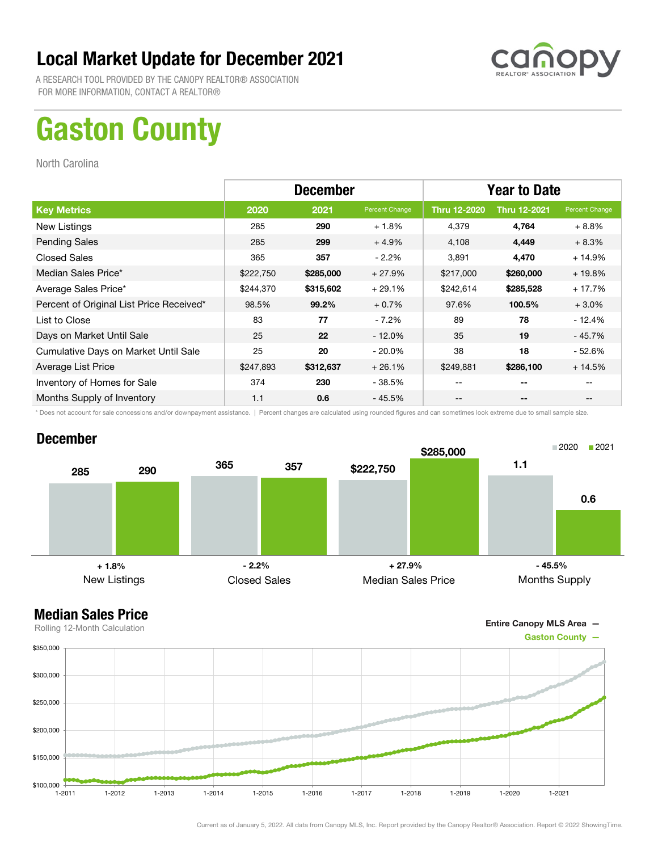

A RESEARCH TOOL PROVIDED BY THE CANOPY REALTOR® ASSOCIATION FOR MORE INFORMATION, CONTACT A REALTOR®

## Gaston County

North Carolina

|                                          | <b>December</b> |           |                | <b>Year to Date</b> |                     |                |
|------------------------------------------|-----------------|-----------|----------------|---------------------|---------------------|----------------|
| <b>Key Metrics</b>                       | 2020            | 2021      | Percent Change | <b>Thru 12-2020</b> | <b>Thru 12-2021</b> | Percent Change |
| New Listings                             | 285             | 290       | $+1.8%$        | 4,379               | 4,764               | $+8.8\%$       |
| <b>Pending Sales</b>                     | 285             | 299       | $+4.9%$        | 4,108               | 4,449               | $+8.3%$        |
| <b>Closed Sales</b>                      | 365             | 357       | $-2.2\%$       | 3,891               | 4,470               | $+14.9%$       |
| Median Sales Price*                      | \$222,750       | \$285,000 | $+27.9%$       | \$217,000           | \$260,000           | $+19.8%$       |
| Average Sales Price*                     | \$244,370       | \$315,602 | $+29.1%$       | \$242,614           | \$285,528           | $+17.7%$       |
| Percent of Original List Price Received* | 98.5%           | 99.2%     | $+0.7%$        | 97.6%               | 100.5%              | $+3.0\%$       |
| List to Close                            | 83              | 77        | $-7.2\%$       | 89                  | 78                  | $-12.4%$       |
| Days on Market Until Sale                | 25              | 22        | $-12.0\%$      | 35                  | 19                  | $-45.7%$       |
| Cumulative Days on Market Until Sale     | 25              | 20        | $-20.0\%$      | 38                  | 18                  | - 52.6%        |
| Average List Price                       | \$247,893       | \$312,637 | $+26.1%$       | \$249,881           | \$286,100           | $+14.5%$       |
| Inventory of Homes for Sale              | 374             | 230       | - 38.5%        | --                  | --                  |                |
| Months Supply of Inventory               | 1.1             | 0.6       | $-45.5%$       | --                  | --                  |                |

\* Does not account for sale concessions and/or downpayment assistance. | Percent changes are calculated using rounded figures and can sometimes look extreme due to small sample size.

#### December



#### Median Sales Price

Entire Canopy MLS Area —



Current as of January 5, 2022. All data from Canopy MLS, Inc. Report provided by the Canopy Realtor® Association. Report © 2022 ShowingTime.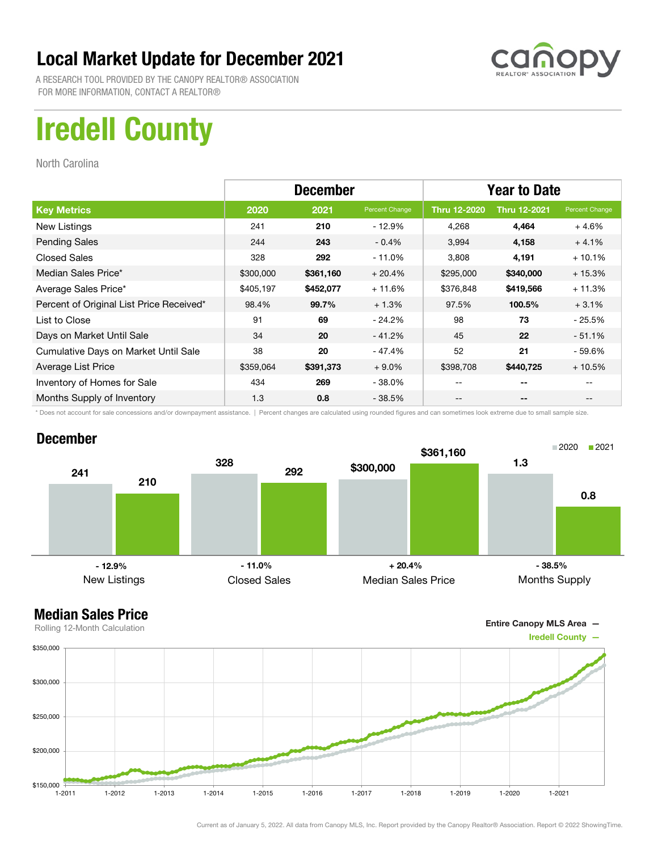

A RESEARCH TOOL PROVIDED BY THE CANOPY REALTOR® ASSOCIATION FOR MORE INFORMATION, CONTACT A REALTOR®

## Iredell County

North Carolina

|                                          | <b>December</b> |           |                | <b>Year to Date</b> |                     |                |
|------------------------------------------|-----------------|-----------|----------------|---------------------|---------------------|----------------|
| <b>Key Metrics</b>                       | 2020            | 2021      | Percent Change | <b>Thru 12-2020</b> | <b>Thru 12-2021</b> | Percent Change |
| New Listings                             | 241             | 210       | $-12.9%$       | 4,268               | 4,464               | $+4.6%$        |
| <b>Pending Sales</b>                     | 244             | 243       | $-0.4%$        | 3,994               | 4,158               | $+4.1%$        |
| <b>Closed Sales</b>                      | 328             | 292       | $-11.0%$       | 3,808               | 4,191               | $+10.1%$       |
| Median Sales Price*                      | \$300,000       | \$361,160 | $+20.4%$       | \$295,000           | \$340,000           | $+15.3%$       |
| Average Sales Price*                     | \$405,197       | \$452,077 | $+11.6%$       | \$376,848           | \$419,566           | $+11.3%$       |
| Percent of Original List Price Received* | 98.4%           | 99.7%     | $+1.3%$        | 97.5%               | 100.5%              | $+3.1%$        |
| List to Close                            | 91              | 69        | $-24.2%$       | 98                  | 73                  | - 25.5%        |
| Days on Market Until Sale                | 34              | 20        | $-41.2%$       | 45                  | 22                  | $-51.1%$       |
| Cumulative Days on Market Until Sale     | 38              | 20        | $-47.4%$       | 52                  | 21                  | - 59.6%        |
| Average List Price                       | \$359,064       | \$391,373 | $+9.0%$        | \$398,708           | \$440,725           | $+10.5%$       |
| Inventory of Homes for Sale              | 434             | 269       | $-38.0%$       | --                  | --                  |                |
| Months Supply of Inventory               | 1.3             | 0.8       | $-38.5%$       | --                  | --                  |                |

\* Does not account for sale concessions and/or downpayment assistance. | Percent changes are calculated using rounded figures and can sometimes look extreme due to small sample size.

#### December





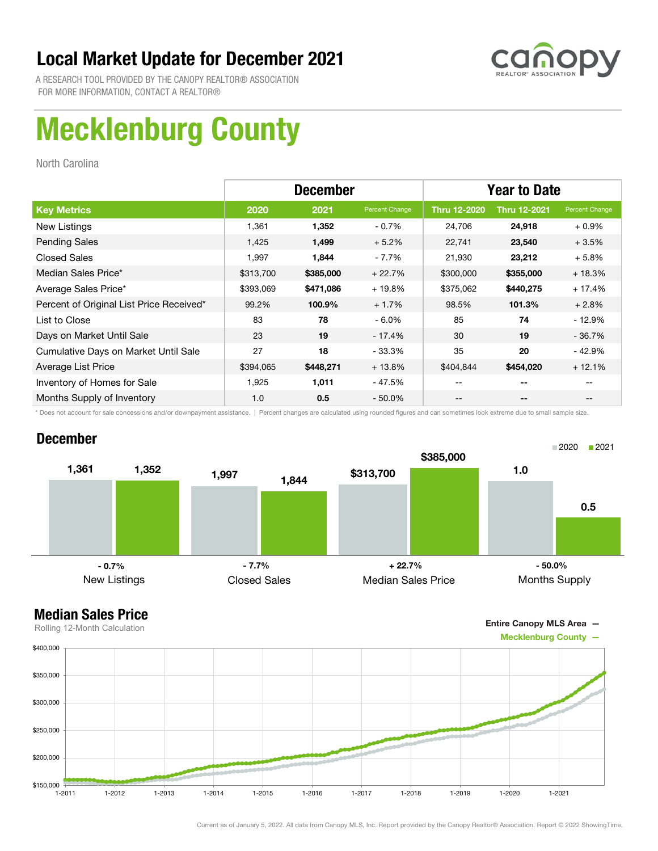

A RESEARCH TOOL PROVIDED BY THE CANOPY REALTOR® ASSOCIATION FOR MORE INFORMATION, CONTACT A REALTOR®

# Mecklenburg County

North Carolina

|                                          | <b>December</b> |           |                | <b>Year to Date</b> |                     |                |
|------------------------------------------|-----------------|-----------|----------------|---------------------|---------------------|----------------|
| <b>Key Metrics</b>                       | 2020            | 2021      | Percent Change | <b>Thru 12-2020</b> | <b>Thru 12-2021</b> | Percent Change |
| New Listings                             | 1,361           | 1,352     | $-0.7%$        | 24,706              | 24,918              | $+0.9%$        |
| <b>Pending Sales</b>                     | 1,425           | 1,499     | $+5.2%$        | 22,741              | 23,540              | $+3.5%$        |
| <b>Closed Sales</b>                      | 1,997           | 1,844     | - 7.7%         | 21,930              | 23,212              | $+5.8%$        |
| Median Sales Price*                      | \$313,700       | \$385,000 | $+22.7%$       | \$300,000           | \$355,000           | $+18.3%$       |
| Average Sales Price*                     | \$393,069       | \$471,086 | $+19.8%$       | \$375,062           | \$440,275           | $+17.4%$       |
| Percent of Original List Price Received* | 99.2%           | 100.9%    | $+1.7%$        | 98.5%               | 101.3%              | $+2.8%$        |
| List to Close                            | 83              | 78        | $-6.0\%$       | 85                  | 74                  | $-12.9%$       |
| Days on Market Until Sale                | 23              | 19        | - 17.4%        | 30                  | 19                  | $-36.7%$       |
| Cumulative Days on Market Until Sale     | 27              | 18        | - 33.3%        | 35                  | 20                  | $-42.9%$       |
| Average List Price                       | \$394,065       | \$448,271 | $+13.8%$       | \$404,844           | \$454,020           | $+12.1%$       |
| Inventory of Homes for Sale              | 1.925           | 1,011     | - 47.5%        | --                  | --                  |                |
| Months Supply of Inventory               | 1.0             | 0.5       | $-50.0\%$      | --                  | --                  |                |

\* Does not account for sale concessions and/or downpayment assistance. | Percent changes are calculated using rounded figures and can sometimes look extreme due to small sample size.

#### December





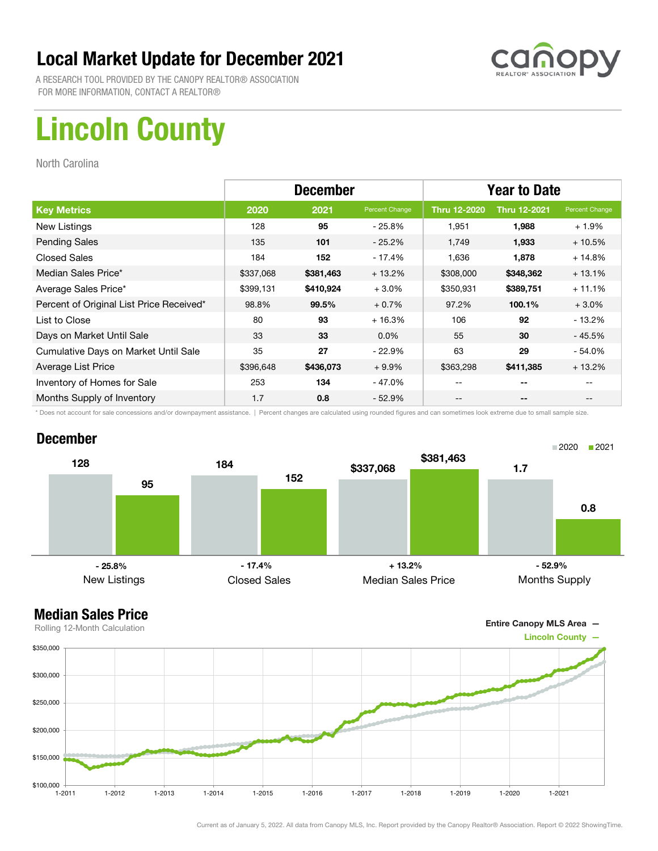

A RESEARCH TOOL PROVIDED BY THE CANOPY REALTOR® ASSOCIATION FOR MORE INFORMATION, CONTACT A REALTOR®

# Lincoln County

North Carolina

|                                          | <b>December</b> |           |                | <b>Year to Date</b> |                     |                |
|------------------------------------------|-----------------|-----------|----------------|---------------------|---------------------|----------------|
| <b>Key Metrics</b>                       | 2020            | 2021      | Percent Change | <b>Thru 12-2020</b> | <b>Thru 12-2021</b> | Percent Change |
| New Listings                             | 128             | 95        | - 25.8%        | 1,951               | 1,988               | $+1.9%$        |
| <b>Pending Sales</b>                     | 135             | 101       | $-25.2\%$      | 1,749               | 1,933               | $+10.5%$       |
| <b>Closed Sales</b>                      | 184             | 152       | - 17.4%        | 1,636               | 1,878               | $+14.8%$       |
| Median Sales Price*                      | \$337,068       | \$381,463 | $+13.2%$       | \$308,000           | \$348,362           | $+13.1%$       |
| Average Sales Price*                     | \$399,131       | \$410,924 | $+3.0%$        | \$350,931           | \$389,751           | $+11.1%$       |
| Percent of Original List Price Received* | 98.8%           | 99.5%     | $+0.7%$        | 97.2%               | 100.1%              | $+3.0\%$       |
| List to Close                            | 80              | 93        | $+16.3%$       | 106                 | 92                  | $-13.2%$       |
| Days on Market Until Sale                | 33              | 33        | $0.0\%$        | 55                  | 30                  | - 45.5%        |
| Cumulative Days on Market Until Sale     | 35              | 27        | $-22.9%$       | 63                  | 29                  | $-54.0\%$      |
| Average List Price                       | \$396,648       | \$436,073 | $+9.9\%$       | \$363,298           | \$411,385           | $+13.2%$       |
| Inventory of Homes for Sale              | 253             | 134       | $-47.0%$       | --                  | --                  |                |
| Months Supply of Inventory               | 1.7             | 0.8       | $-52.9%$       | --                  | --                  |                |

\* Does not account for sale concessions and/or downpayment assistance. | Percent changes are calculated using rounded figures and can sometimes look extreme due to small sample size.

#### December



Entire Canopy MLS Area —

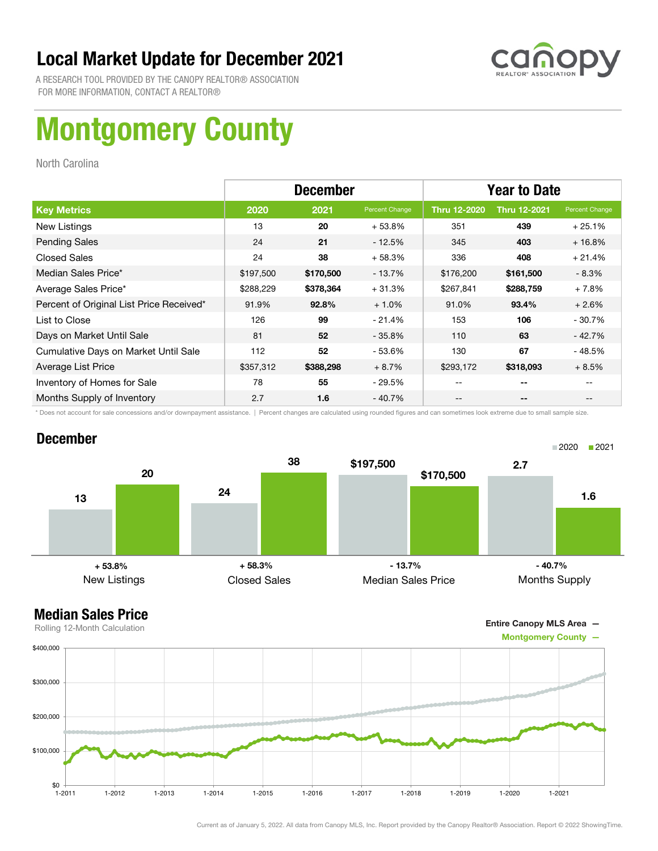

A RESEARCH TOOL PROVIDED BY THE CANOPY REALTOR® ASSOCIATION FOR MORE INFORMATION, CONTACT A REALTOR®

# Montgomery County

North Carolina

|                                          | <b>December</b> |           |                | <b>Year to Date</b> |                     |                |
|------------------------------------------|-----------------|-----------|----------------|---------------------|---------------------|----------------|
| <b>Key Metrics</b>                       | 2020            | 2021      | Percent Change | <b>Thru 12-2020</b> | <b>Thru 12-2021</b> | Percent Change |
| New Listings                             | 13              | 20        | $+53.8%$       | 351                 | 439                 | $+25.1%$       |
| <b>Pending Sales</b>                     | 24              | 21        | $-12.5%$       | 345                 | 403                 | $+16.8%$       |
| <b>Closed Sales</b>                      | 24              | 38        | $+58.3%$       | 336                 | 408                 | $+21.4%$       |
| Median Sales Price*                      | \$197,500       | \$170,500 | $-13.7%$       | \$176,200           | \$161,500           | $-8.3%$        |
| Average Sales Price*                     | \$288,229       | \$378,364 | $+31.3%$       | \$267,841           | \$288,759           | $+7.8%$        |
| Percent of Original List Price Received* | 91.9%           | 92.8%     | $+1.0%$        | 91.0%               | 93.4%               | $+2.6%$        |
| List to Close                            | 126             | 99        | $-21.4%$       | 153                 | 106                 | $-30.7%$       |
| Days on Market Until Sale                | 81              | 52        | $-35.8\%$      | 110                 | 63                  | $-42.7%$       |
| Cumulative Days on Market Until Sale     | 112             | 52        | - 53.6%        | 130                 | 67                  | $-48.5%$       |
| Average List Price                       | \$357,312       | \$388,298 | $+8.7%$        | \$293,172           | \$318,093           | $+8.5%$        |
| Inventory of Homes for Sale              | 78              | 55        | - 29.5%        | --                  | --                  |                |
| Months Supply of Inventory               | 2.7             | 1.6       | $-40.7%$       | --                  | --                  |                |

\* Does not account for sale concessions and/or downpayment assistance. | Percent changes are calculated using rounded figures and can sometimes look extreme due to small sample size.

#### December



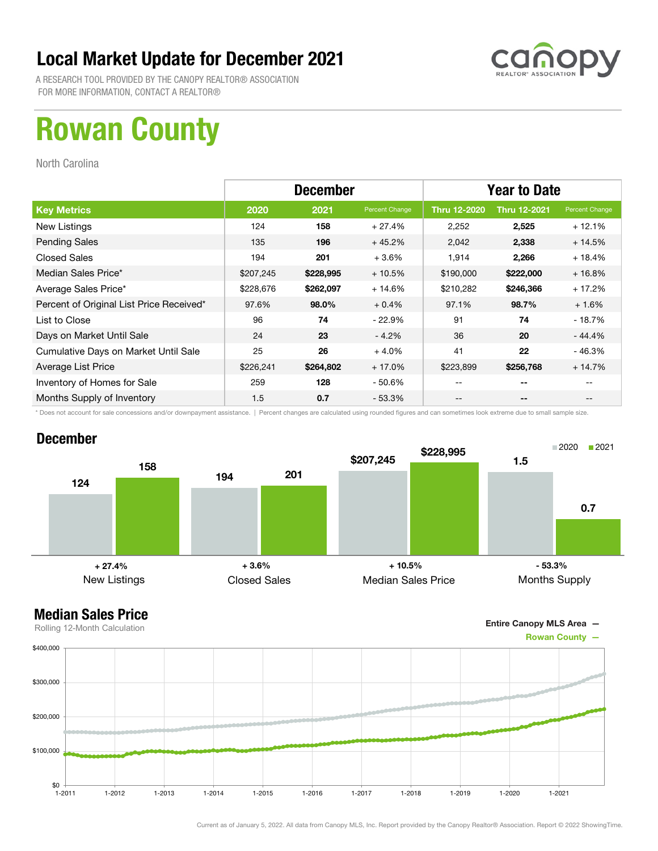

A RESEARCH TOOL PROVIDED BY THE CANOPY REALTOR® ASSOCIATION FOR MORE INFORMATION, CONTACT A REALTOR®

## Rowan County

North Carolina

|                                          | <b>December</b> |           |                | <b>Year to Date</b> |                     |                |
|------------------------------------------|-----------------|-----------|----------------|---------------------|---------------------|----------------|
| <b>Key Metrics</b>                       | 2020            | 2021      | Percent Change | <b>Thru 12-2020</b> | <b>Thru 12-2021</b> | Percent Change |
| New Listings                             | 124             | 158       | $+27.4%$       | 2,252               | 2,525               | $+12.1%$       |
| <b>Pending Sales</b>                     | 135             | 196       | $+45.2%$       | 2,042               | 2,338               | $+14.5%$       |
| <b>Closed Sales</b>                      | 194             | 201       | $+3.6%$        | 1,914               | 2,266               | $+18.4%$       |
| Median Sales Price*                      | \$207,245       | \$228,995 | $+10.5%$       | \$190,000           | \$222,000           | $+16.8%$       |
| Average Sales Price*                     | \$228,676       | \$262,097 | $+14.6%$       | \$210,282           | \$246,366           | $+17.2%$       |
| Percent of Original List Price Received* | 97.6%           | 98.0%     | $+0.4%$        | 97.1%               | 98.7%               | $+1.6%$        |
| List to Close                            | 96              | 74        | $-22.9%$       | 91                  | 74                  | $-18.7%$       |
| Days on Market Until Sale                | 24              | 23        | $-4.2%$        | 36                  | 20                  | $-44.4%$       |
| Cumulative Days on Market Until Sale     | 25              | 26        | $+4.0%$        | 41                  | 22                  | $-46.3%$       |
| Average List Price                       | \$226,241       | \$264,802 | $+17.0%$       | \$223,899           | \$256,768           | $+14.7%$       |
| Inventory of Homes for Sale              | 259             | 128       | - 50.6%        | --                  | --                  |                |
| Months Supply of Inventory               | 1.5             | 0.7       | $-53.3\%$      | --                  | --                  |                |

\* Does not account for sale concessions and/or downpayment assistance. | Percent changes are calculated using rounded figures and can sometimes look extreme due to small sample size.

#### December



Entire Canopy MLS Area —

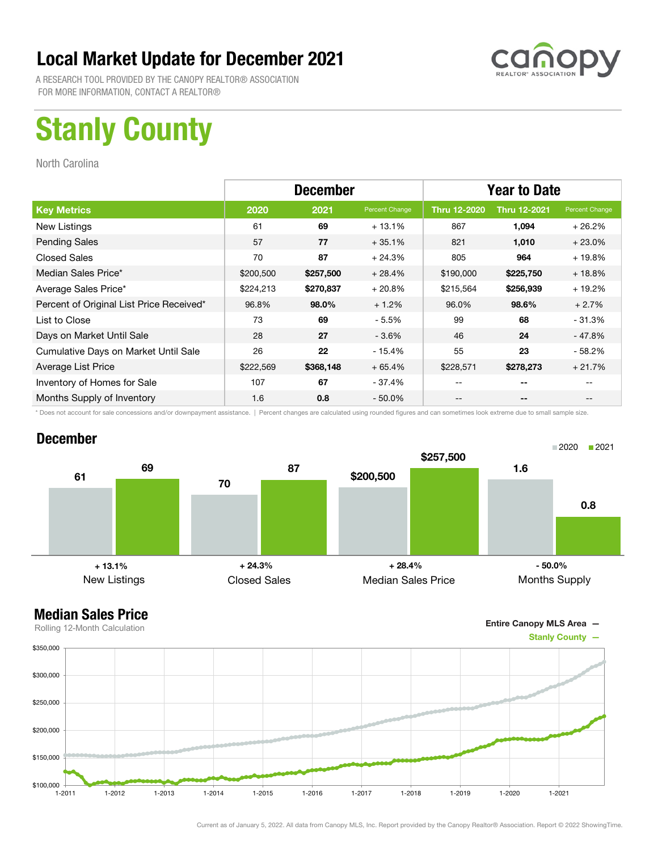

A RESEARCH TOOL PROVIDED BY THE CANOPY REALTOR® ASSOCIATION FOR MORE INFORMATION, CONTACT A REALTOR®

# Stanly County

North Carolina

|                                          | <b>December</b> |           |                | <b>Year to Date</b> |                     |                |
|------------------------------------------|-----------------|-----------|----------------|---------------------|---------------------|----------------|
| <b>Key Metrics</b>                       | 2020            | 2021      | Percent Change | <b>Thru 12-2020</b> | <b>Thru 12-2021</b> | Percent Change |
| New Listings                             | 61              | 69        | $+13.1%$       | 867                 | 1,094               | $+26.2%$       |
| <b>Pending Sales</b>                     | 57              | 77        | $+35.1%$       | 821                 | 1,010               | $+23.0%$       |
| <b>Closed Sales</b>                      | 70              | 87        | $+24.3%$       | 805                 | 964                 | $+19.8%$       |
| Median Sales Price*                      | \$200,500       | \$257,500 | $+28.4%$       | \$190,000           | \$225,750           | $+18.8%$       |
| Average Sales Price*                     | \$224,213       | \$270,837 | $+20.8%$       | \$215,564           | \$256,939           | $+19.2%$       |
| Percent of Original List Price Received* | 96.8%           | 98.0%     | $+1.2%$        | 96.0%               | 98.6%               | $+2.7%$        |
| List to Close                            | 73              | 69        | $-5.5%$        | 99                  | 68                  | $-31.3%$       |
| Days on Market Until Sale                | 28              | 27        | $-3.6%$        | 46                  | 24                  | - 47.8%        |
| Cumulative Days on Market Until Sale     | 26              | 22        | $-15.4%$       | 55                  | 23                  | - 58.2%        |
| Average List Price                       | \$222,569       | \$368,148 | $+65.4%$       | \$228,571           | \$278,273           | $+21.7%$       |
| Inventory of Homes for Sale              | 107             | 67        | - 37.4%        | --                  | --                  |                |
| Months Supply of Inventory               | 1.6             | 0.8       | $-50.0\%$      | --                  | --                  |                |

\* Does not account for sale concessions and/or downpayment assistance. | Percent changes are calculated using rounded figures and can sometimes look extreme due to small sample size.

#### December



Entire Canopy MLS Area —

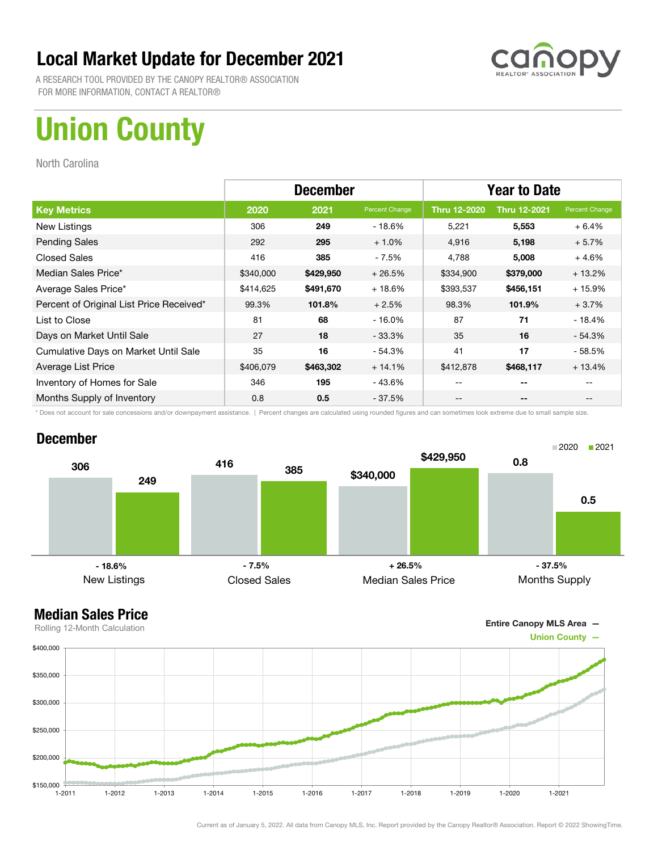

A RESEARCH TOOL PROVIDED BY THE CANOPY REALTOR® ASSOCIATION FOR MORE INFORMATION, CONTACT A REALTOR®

# Union County

North Carolina

|                                          | <b>December</b> |           |                | <b>Year to Date</b> |                     |                |
|------------------------------------------|-----------------|-----------|----------------|---------------------|---------------------|----------------|
| <b>Key Metrics</b>                       | 2020            | 2021      | Percent Change | <b>Thru 12-2020</b> | <b>Thru 12-2021</b> | Percent Change |
| New Listings                             | 306             | 249       | $-18.6%$       | 5,221               | 5,553               | $+6.4%$        |
| <b>Pending Sales</b>                     | 292             | 295       | $+1.0%$        | 4,916               | 5,198               | $+5.7%$        |
| <b>Closed Sales</b>                      | 416             | 385       | $-7.5%$        | 4,788               | 5,008               | $+4.6%$        |
| Median Sales Price*                      | \$340,000       | \$429,950 | $+26.5%$       | \$334,900           | \$379,000           | $+13.2%$       |
| Average Sales Price*                     | \$414,625       | \$491,670 | $+18.6%$       | \$393,537           | \$456,151           | $+15.9%$       |
| Percent of Original List Price Received* | 99.3%           | 101.8%    | $+2.5%$        | 98.3%               | 101.9%              | $+3.7%$        |
| List to Close                            | 81              | 68        | $-16.0%$       | 87                  | 71                  | $-18.4%$       |
| Days on Market Until Sale                | 27              | 18        | $-33.3\%$      | 35                  | 16                  | $-54.3\%$      |
| Cumulative Days on Market Until Sale     | 35              | 16        | $-54.3%$       | 41                  | 17                  | - 58.5%        |
| Average List Price                       | \$406,079       | \$463,302 | $+14.1%$       | \$412,878           | \$468,117           | $+13.4%$       |
| Inventory of Homes for Sale              | 346             | 195       | - 43.6%        | --                  | --                  |                |
| Months Supply of Inventory               | 0.8             | 0.5       | $-37.5%$       | --                  | --                  |                |

\* Does not account for sale concessions and/or downpayment assistance. | Percent changes are calculated using rounded figures and can sometimes look extreme due to small sample size.

#### December





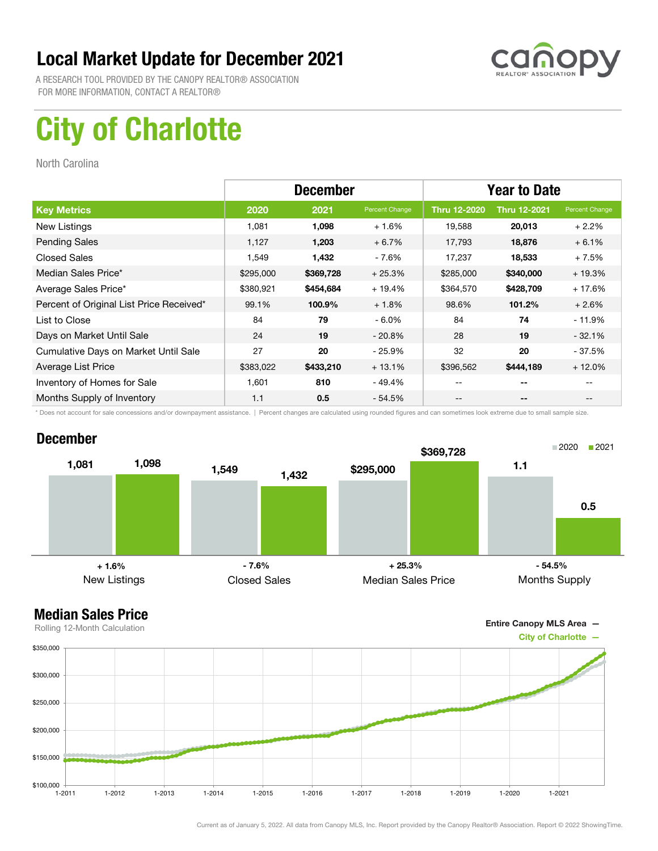

A RESEARCH TOOL PROVIDED BY THE CANOPY REALTOR® ASSOCIATION FOR MORE INFORMATION, CONTACT A REALTOR®

# City of Charlotte

North Carolina

|                                          | <b>December</b> |           |                | <b>Year to Date</b> |                     |                |
|------------------------------------------|-----------------|-----------|----------------|---------------------|---------------------|----------------|
| <b>Key Metrics</b>                       | 2020            | 2021      | Percent Change | <b>Thru 12-2020</b> | <b>Thru 12-2021</b> | Percent Change |
| New Listings                             | 1,081           | 1,098     | $+1.6%$        | 19,588              | 20,013              | $+2.2%$        |
| <b>Pending Sales</b>                     | 1,127           | 1,203     | $+6.7%$        | 17,793              | 18,876              | $+6.1%$        |
| <b>Closed Sales</b>                      | 1,549           | 1,432     | - 7.6%         | 17,237              | 18,533              | $+7.5%$        |
| Median Sales Price*                      | \$295,000       | \$369,728 | $+25.3%$       | \$285,000           | \$340,000           | $+19.3%$       |
| Average Sales Price*                     | \$380,921       | \$454,684 | $+19.4%$       | \$364,570           | \$428,709           | $+17.6%$       |
| Percent of Original List Price Received* | 99.1%           | 100.9%    | $+1.8%$        | 98.6%               | 101.2%              | $+2.6%$        |
| List to Close                            | 84              | 79        | $-6.0\%$       | 84                  | 74                  | $-11.9%$       |
| Days on Market Until Sale                | 24              | 19        | $-20.8\%$      | 28                  | 19                  | $-32.1%$       |
| Cumulative Days on Market Until Sale     | 27              | 20        | $-25.9%$       | 32                  | 20                  | - 37.5%        |
| Average List Price                       | \$383,022       | \$433,210 | $+13.1%$       | \$396,562           | \$444,189           | $+12.0%$       |
| Inventory of Homes for Sale              | 1.601           | 810       | - 49.4%        | --                  | --                  |                |
| Months Supply of Inventory               | 1.1             | 0.5       | $-54.5%$       | --                  | --                  |                |

\* Does not account for sale concessions and/or downpayment assistance. | Percent changes are calculated using rounded figures and can sometimes look extreme due to small sample size.

#### December



Entire Canopy MLS Area —

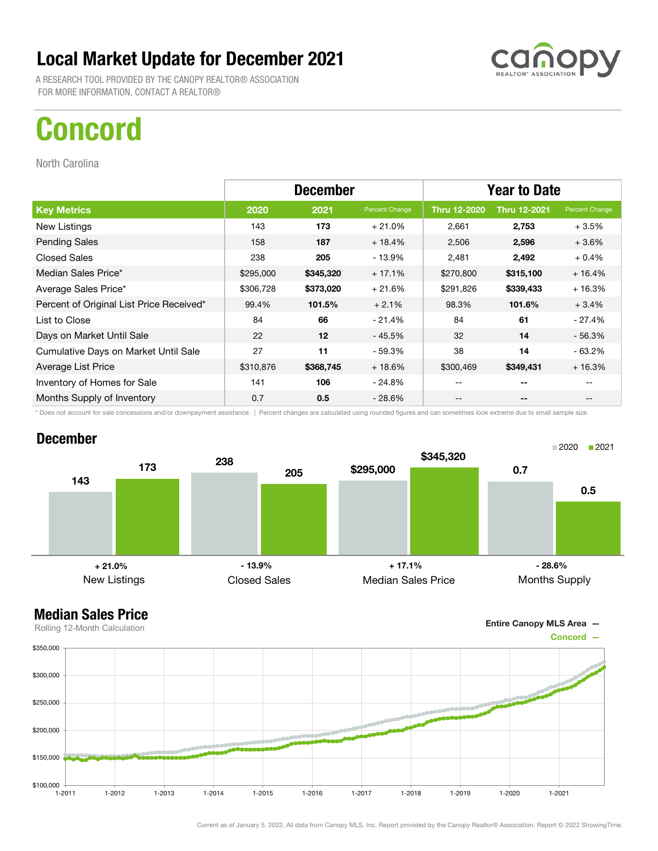A RESEARCH TOOL PROVIDED BY THE CANOPY REALTOR® ASSOCIATION FOR MORE INFORMATION, CONTACT A REALTOR®

## Concord

North Carolina

|                                          | <b>December</b> |           |                | <b>Year to Date</b> |                     |                                       |
|------------------------------------------|-----------------|-----------|----------------|---------------------|---------------------|---------------------------------------|
| <b>Key Metrics</b>                       | 2020            | 2021      | Percent Change | <b>Thru 12-2020</b> | <b>Thru 12-2021</b> | Percent Change                        |
| New Listings                             | 143             | 173       | $+21.0%$       | 2,661               | 2,753               | $+3.5%$                               |
| <b>Pending Sales</b>                     | 158             | 187       | $+18.4%$       | 2,506               | 2,596               | $+3.6%$                               |
| <b>Closed Sales</b>                      | 238             | 205       | - 13.9%        | 2,481               | 2,492               | $+0.4%$                               |
| Median Sales Price*                      | \$295,000       | \$345,320 | $+17.1%$       | \$270,800           | \$315,100           | $+16.4%$                              |
| Average Sales Price*                     | \$306,728       | \$373,020 | $+21.6%$       | \$291,826           | \$339,433           | $+16.3%$                              |
| Percent of Original List Price Received* | 99.4%           | 101.5%    | $+2.1%$        | 98.3%               | 101.6%              | $+3.4%$                               |
| List to Close                            | 84              | 66        | $-21.4%$       | 84                  | 61                  | $-27.4%$                              |
| Days on Market Until Sale                | 22              | 12        | $-45.5%$       | 32                  | 14                  | $-56.3%$                              |
| Cumulative Days on Market Until Sale     | 27              | 11        | - 59.3%        | 38                  | 14                  | $-63.2%$                              |
| Average List Price                       | \$310,876       | \$368,745 | $+18.6%$       | \$300,469           | \$349,431           | $+16.3%$                              |
| Inventory of Homes for Sale              | 141             | 106       | - 24.8%        | --                  | --                  |                                       |
| Months Supply of Inventory               | 0.7             | 0.5       | $-28.6%$       | --                  | --                  | $\hspace{0.05cm}$ – $\hspace{0.05cm}$ |

\* Does not account for sale concessions and/or downpayment assistance. | Percent changes are calculated using rounded figures and can sometimes look extreme due to small sample size.

#### December





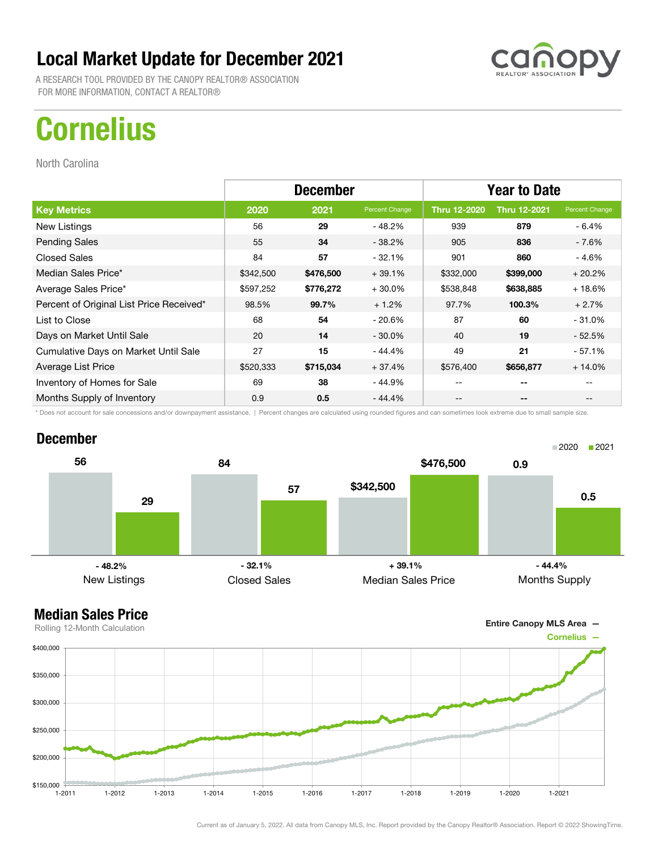A RESEARCH TOOL PROVIDED BY THE CANOPY REALTOR® ASSOCIATION FOR MORE INFORMATION, CONTACT A REALTOR®

# **Cornelius**

North Carolina

|                                          | <b>December</b> |           |                | <b>Year to Date</b> |                     |                                       |
|------------------------------------------|-----------------|-----------|----------------|---------------------|---------------------|---------------------------------------|
| <b>Key Metrics</b>                       | 2020            | 2021      | Percent Change | <b>Thru 12-2020</b> | <b>Thru 12-2021</b> | Percent Change                        |
| New Listings                             | 56              | 29        | - 48.2%        | 939                 | 879                 | - 6.4%                                |
| <b>Pending Sales</b>                     | 55              | 34        | $-38.2%$       | 905                 | 836                 | - 7.6%                                |
| <b>Closed Sales</b>                      | 84              | 57        | $-32.1%$       | 901                 | 860                 | - 4.6%                                |
| Median Sales Price*                      | \$342,500       | \$476,500 | $+39.1%$       | \$332,000           | \$399,000           | $+20.2%$                              |
| Average Sales Price*                     | \$597,252       | \$776,272 | $+30.0%$       | \$538,848           | \$638,885           | $+18.6%$                              |
| Percent of Original List Price Received* | 98.5%           | 99.7%     | $+1.2%$        | 97.7%               | 100.3%              | $+2.7%$                               |
| List to Close                            | 68              | 54        | $-20.6%$       | 87                  | 60                  | $-31.0%$                              |
| Days on Market Until Sale                | 20              | 14        | $-30.0\%$      | 40                  | 19                  | $-52.5%$                              |
| Cumulative Days on Market Until Sale     | 27              | 15        | - 44.4%        | 49                  | 21                  | $-57.1%$                              |
| Average List Price                       | \$520,333       | \$715,034 | $+37.4%$       | \$576,400           | \$656,877           | $+14.0%$                              |
| Inventory of Homes for Sale              | 69              | 38        | - 44.9%        | --                  | --                  |                                       |
| Months Supply of Inventory               | 0.9             | 0.5       | - 44.4%        | --                  | --                  | $\hspace{0.05cm}$ – $\hspace{0.05cm}$ |

\* Does not account for sale concessions and/or downpayment assistance. | Percent changes are calculated using rounded figures and can sometimes look extreme due to small sample size.

#### December



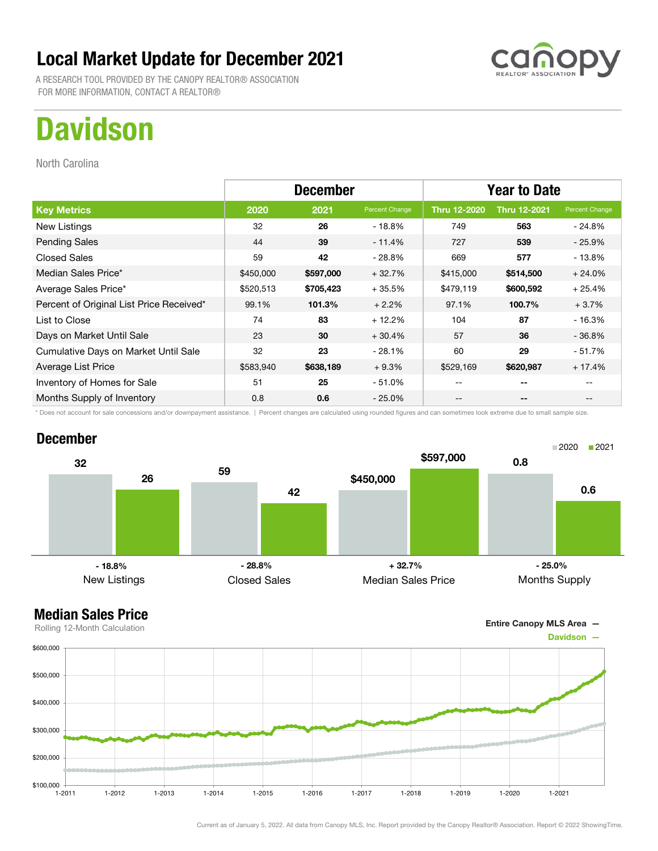A RESEARCH TOOL PROVIDED BY THE CANOPY REALTOR® ASSOCIATION FOR MORE INFORMATION, CONTACT A REALTOR®

## **Davidson**

North Carolina

|                                          | <b>December</b> |           |                | <b>Year to Date</b> |                     |                                       |
|------------------------------------------|-----------------|-----------|----------------|---------------------|---------------------|---------------------------------------|
| <b>Key Metrics</b>                       | 2020            | 2021      | Percent Change | <b>Thru 12-2020</b> | <b>Thru 12-2021</b> | Percent Change                        |
| New Listings                             | 32              | 26        | - 18.8%        | 749                 | 563                 | $-24.8%$                              |
| <b>Pending Sales</b>                     | 44              | 39        | $-11.4%$       | 727                 | 539                 | $-25.9%$                              |
| <b>Closed Sales</b>                      | 59              | 42        | - 28.8%        | 669                 | 577                 | $-13.8%$                              |
| Median Sales Price*                      | \$450,000       | \$597,000 | $+32.7%$       | \$415,000           | \$514,500           | $+24.0%$                              |
| Average Sales Price*                     | \$520,513       | \$705,423 | $+35.5%$       | \$479,119           | \$600,592           | $+25.4%$                              |
| Percent of Original List Price Received* | 99.1%           | 101.3%    | $+2.2%$        | 97.1%               | 100.7%              | $+3.7%$                               |
| List to Close                            | 74              | 83        | $+12.2%$       | 104                 | 87                  | $-16.3%$                              |
| Days on Market Until Sale                | 23              | 30        | $+30.4%$       | 57                  | 36                  | $-36.8%$                              |
| Cumulative Days on Market Until Sale     | 32              | 23        | $-28.1%$       | 60                  | 29                  | $-51.7%$                              |
| Average List Price                       | \$583,940       | \$638,189 | $+9.3%$        | \$529,169           | \$620,987           | $+17.4%$                              |
| Inventory of Homes for Sale              | 51              | 25        | - 51.0%        | --                  | --                  |                                       |
| Months Supply of Inventory               | 0.8             | 0.6       | $-25.0\%$      | --                  | --                  | $\hspace{0.05cm}$ – $\hspace{0.05cm}$ |

\* Does not account for sale concessions and/or downpayment assistance. | Percent changes are calculated using rounded figures and can sometimes look extreme due to small sample size.

#### December





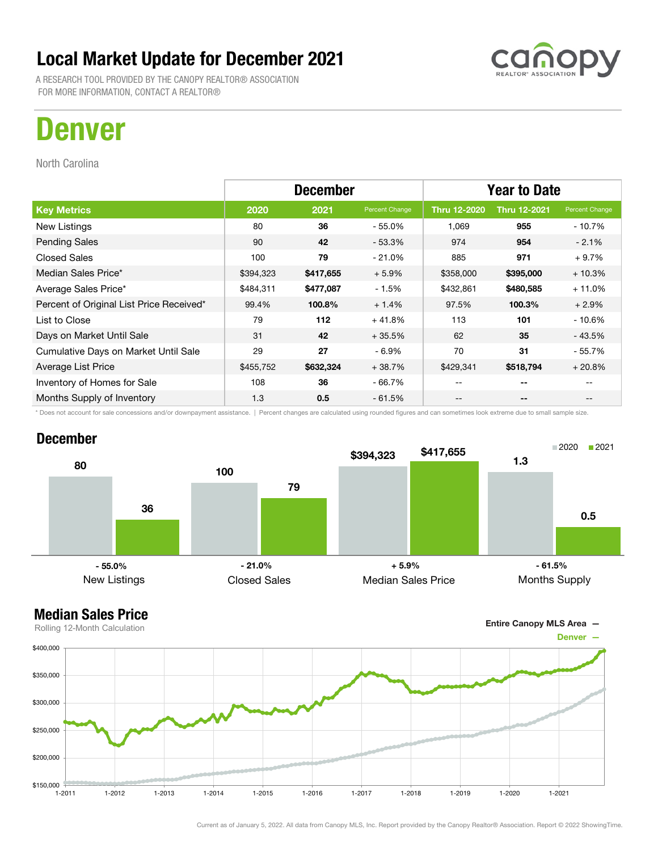A RESEARCH TOOL PROVIDED BY THE CANOPY REALTOR® ASSOCIATION FOR MORE INFORMATION, CONTACT A REALTOR®

## Denver

North Carolina

|                                          | <b>December</b> |           |                | <b>Year to Date</b> |                     |                |
|------------------------------------------|-----------------|-----------|----------------|---------------------|---------------------|----------------|
| <b>Key Metrics</b>                       | 2020            | 2021      | Percent Change | Thru 12-2020        | <b>Thru 12-2021</b> | Percent Change |
| New Listings                             | 80              | 36        | $-55.0%$       | 1,069               | 955                 | $-10.7%$       |
| <b>Pending Sales</b>                     | 90              | 42        | $-53.3%$       | 974                 | 954                 | $-2.1%$        |
| <b>Closed Sales</b>                      | 100             | 79        | $-21.0%$       | 885                 | 971                 | $+9.7%$        |
| Median Sales Price*                      | \$394,323       | \$417,655 | $+5.9%$        | \$358,000           | \$395,000           | $+10.3%$       |
| Average Sales Price*                     | \$484,311       | \$477,087 | $-1.5%$        | \$432,861           | \$480,585           | $+11.0%$       |
| Percent of Original List Price Received* | 99.4%           | 100.8%    | $+1.4%$        | 97.5%               | 100.3%              | $+2.9%$        |
| List to Close                            | 79              | 112       | $+41.8%$       | 113                 | 101                 | $-10.6%$       |
| Days on Market Until Sale                | 31              | 42        | $+35.5%$       | 62                  | 35                  | - 43.5%        |
| Cumulative Days on Market Until Sale     | 29              | 27        | $-6.9\%$       | 70                  | 31                  | - 55.7%        |
| Average List Price                       | \$455,752       | \$632,324 | $+38.7%$       | \$429,341           | \$518,794           | $+20.8%$       |
| Inventory of Homes for Sale              | 108             | 36        | $-66.7%$       | --                  | $- -$               |                |
| Months Supply of Inventory               | 1.3             | 0.5       | $-61.5%$       | --                  | --                  |                |

\* Does not account for sale concessions and/or downpayment assistance. | Percent changes are calculated using rounded figures and can sometimes look extreme due to small sample size.

#### December



#### Median Sales Price

Entire Canopy MLS Area —

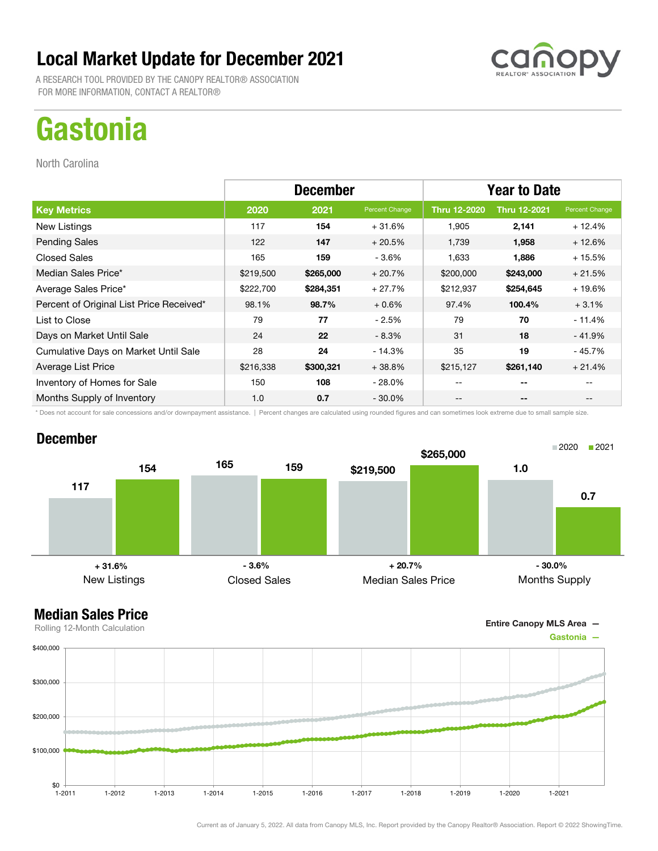A RESEARCH TOOL PROVIDED BY THE CANOPY REALTOR® ASSOCIATION FOR MORE INFORMATION, CONTACT A REALTOR®

# **Gastonia**

North Carolina

|                                          | <b>December</b> |           |                | <b>Year to Date</b> |                          |                |
|------------------------------------------|-----------------|-----------|----------------|---------------------|--------------------------|----------------|
| <b>Key Metrics</b>                       | 2020            | 2021      | Percent Change | <b>Thru 12-2020</b> | <b>Thru 12-2021</b>      | Percent Change |
| New Listings                             | 117             | 154       | $+31.6%$       | 1,905               | 2,141                    | $+12.4%$       |
| <b>Pending Sales</b>                     | 122             | 147       | $+20.5%$       | 1,739               | 1,958                    | $+12.6%$       |
| <b>Closed Sales</b>                      | 165             | 159       | $-3.6%$        | 1,633               | 1,886                    | $+15.5%$       |
| Median Sales Price*                      | \$219,500       | \$265,000 | $+20.7%$       | \$200,000           | \$243,000                | $+21.5%$       |
| Average Sales Price*                     | \$222,700       | \$284,351 | $+27.7%$       | \$212,937           | \$254,645                | $+19.6%$       |
| Percent of Original List Price Received* | 98.1%           | 98.7%     | $+0.6%$        | 97.4%               | 100.4%                   | $+3.1%$        |
| List to Close                            | 79              | 77        | $-2.5%$        | 79                  | 70                       | $-11.4%$       |
| Days on Market Until Sale                | 24              | 22        | $-8.3%$        | 31                  | 18                       | $-41.9%$       |
| Cumulative Days on Market Until Sale     | 28              | 24        | $-14.3%$       | 35                  | 19                       | $-45.7%$       |
| Average List Price                       | \$216,338       | \$300,321 | $+38.8%$       | \$215,127           | \$261,140                | $+21.4%$       |
| Inventory of Homes for Sale              | 150             | 108       | $-28.0\%$      | $- -$               | $- -$                    |                |
| Months Supply of Inventory               | 1.0             | 0.7       | - 30.0%        | --                  | $\overline{\phantom{a}}$ |                |

\* Does not account for sale concessions and/or downpayment assistance. | Percent changes are calculated using rounded figures and can sometimes look extreme due to small sample size.

#### December



Entire Canopy MLS Area —

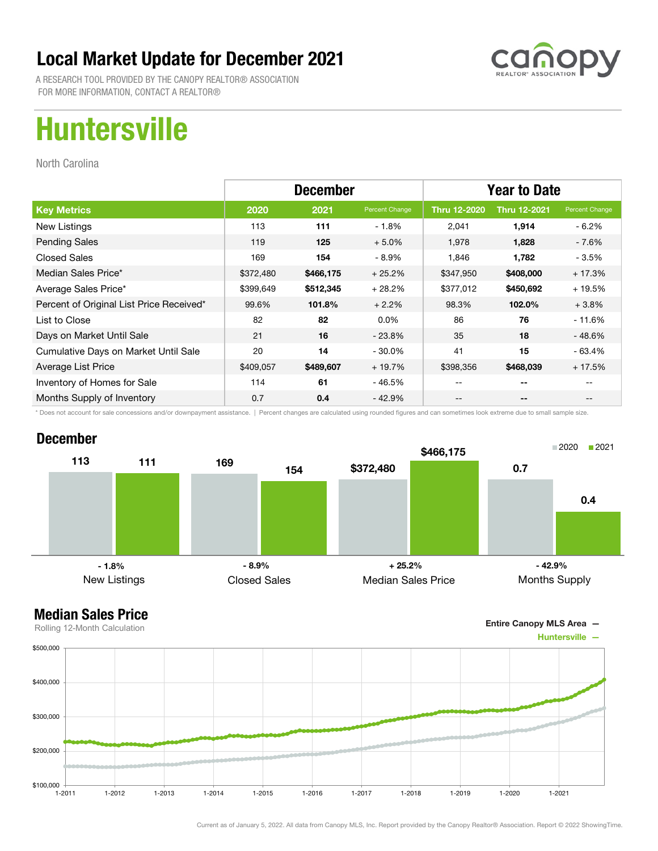

A RESEARCH TOOL PROVIDED BY THE CANOPY REALTOR® ASSOCIATION FOR MORE INFORMATION, CONTACT A REALTOR®

# Huntersville

North Carolina

|                                          | <b>December</b> |           |                | <b>Year to Date</b> |                     |                |
|------------------------------------------|-----------------|-----------|----------------|---------------------|---------------------|----------------|
| <b>Key Metrics</b>                       | 2020            | 2021      | Percent Change | Thru 12-2020        | <b>Thru 12-2021</b> | Percent Change |
| New Listings                             | 113             | 111       | $-1.8%$        | 2,041               | 1,914               | $-6.2\%$       |
| <b>Pending Sales</b>                     | 119             | 125       | $+5.0%$        | 1,978               | 1,828               | - 7.6%         |
| <b>Closed Sales</b>                      | 169             | 154       | $-8.9%$        | 1,846               | 1,782               | $-3.5%$        |
| Median Sales Price*                      | \$372,480       | \$466,175 | $+25.2%$       | \$347,950           | \$408,000           | $+17.3%$       |
| Average Sales Price*                     | \$399,649       | \$512,345 | $+28.2%$       | \$377,012           | \$450,692           | $+19.5%$       |
| Percent of Original List Price Received* | 99.6%           | 101.8%    | $+2.2%$        | 98.3%               | 102.0%              | $+3.8%$        |
| List to Close                            | 82              | 82        | $0.0\%$        | 86                  | 76                  | $-11.6%$       |
| Days on Market Until Sale                | 21              | 16        | $-23.8\%$      | 35                  | 18                  | - 48.6%        |
| Cumulative Days on Market Until Sale     | 20              | 14        | $-30.0\%$      | 41                  | 15                  | $-63.4%$       |
| Average List Price                       | \$409,057       | \$489,607 | $+19.7%$       | \$398,356           | \$468,039           | $+17.5%$       |
| Inventory of Homes for Sale              | 114             | 61        | - 46.5%        | --                  | --                  |                |
| Months Supply of Inventory               | 0.7             | 0.4       | - 42.9%        | --                  | --                  |                |

\* Does not account for sale concessions and/or downpayment assistance. | Percent changes are calculated using rounded figures and can sometimes look extreme due to small sample size.

#### December



Entire Canopy MLS Area —

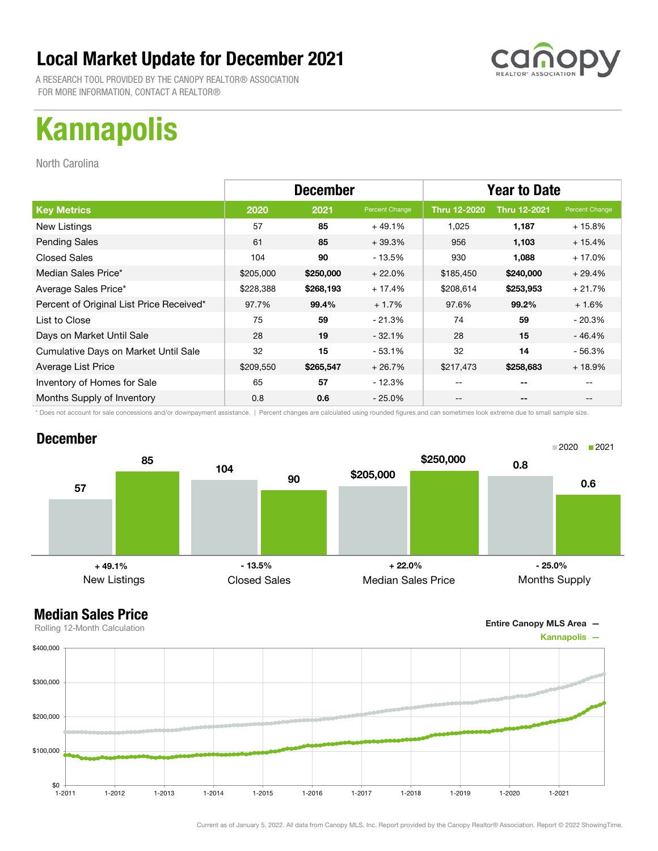A RESEARCH TOOL PROVIDED BY THE CANOPY REALTOR® ASSOCIATION FOR MORE INFORMATION, CONTACT A REALTOR®

# Kannapolis

North Carolina

|                                          | <b>December</b> |           |                | <b>Year to Date</b> |                     |                |
|------------------------------------------|-----------------|-----------|----------------|---------------------|---------------------|----------------|
| <b>Key Metrics</b>                       | 2020            | 2021      | Percent Change | Thru 12-2020        | <b>Thru 12-2021</b> | Percent Change |
| New Listings                             | 57              | 85        | $+49.1%$       | 1,025               | 1,187               | $+15.8%$       |
| <b>Pending Sales</b>                     | 61              | 85        | $+39.3%$       | 956                 | 1,103               | $+15.4%$       |
| <b>Closed Sales</b>                      | 104             | 90        | - 13.5%        | 930                 | 1,088               | $+17.0%$       |
| Median Sales Price*                      | \$205,000       | \$250,000 | $+22.0%$       | \$185,450           | \$240,000           | $+29.4%$       |
| Average Sales Price*                     | \$228,388       | \$268,193 | $+17.4%$       | \$208,614           | \$253,953           | $+21.7%$       |
| Percent of Original List Price Received* | 97.7%           | 99.4%     | $+1.7%$        | 97.6%               | 99.2%               | $+1.6%$        |
| List to Close                            | 75              | 59        | - 21.3%        | 74                  | 59                  | $-20.3%$       |
| Days on Market Until Sale                | 28              | 19        | $-32.1%$       | 28                  | 15                  | $-46.4%$       |
| Cumulative Days on Market Until Sale     | 32              | 15        | $-53.1%$       | 32                  | 14                  | - 56.3%        |
| Average List Price                       | \$209,550       | \$265,547 | $+26.7%$       | \$217,473           | \$258,683           | $+18.9%$       |
| Inventory of Homes for Sale              | 65              | 57        | $-12.3%$       | --                  | --                  |                |
| Months Supply of Inventory               | 0.8             | 0.6       | $-25.0\%$      | --                  | --                  |                |

\* Does not account for sale concessions and/or downpayment assistance. | Percent changes are calculated using rounded figures and can sometimes look extreme due to small sample size.



Entire Canopy MLS Area —

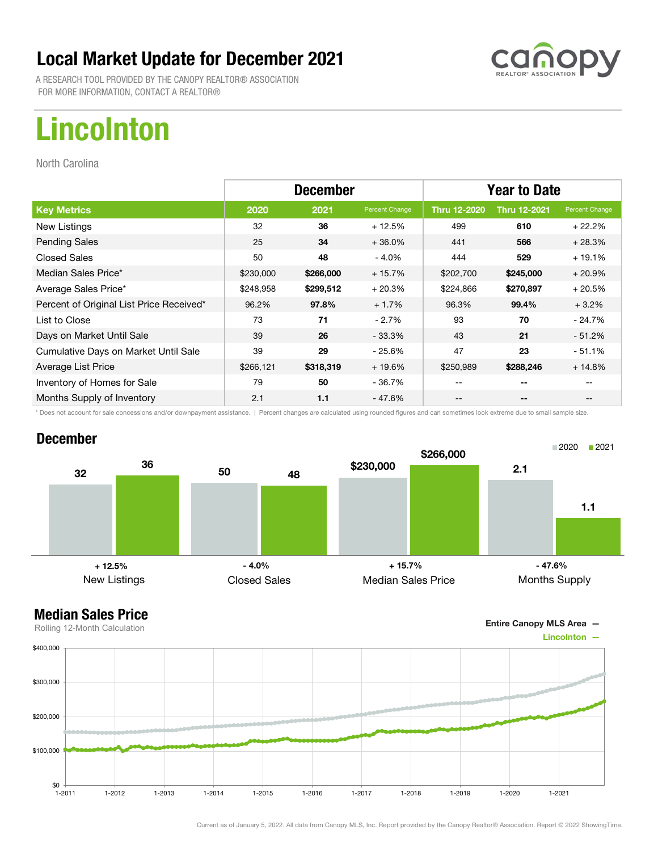A RESEARCH TOOL PROVIDED BY THE CANOPY REALTOR® ASSOCIATION FOR MORE INFORMATION, CONTACT A REALTOR®

# Lincolnton

North Carolina

|                                          | <b>December</b> |           |                | <b>Year to Date</b> |                     |                |
|------------------------------------------|-----------------|-----------|----------------|---------------------|---------------------|----------------|
| <b>Key Metrics</b>                       | 2020            | 2021      | Percent Change | <b>Thru 12-2020</b> | <b>Thru 12-2021</b> | Percent Change |
| New Listings                             | 32              | 36        | $+12.5%$       | 499                 | 610                 | $+22.2%$       |
| <b>Pending Sales</b>                     | 25              | 34        | $+36.0%$       | 441                 | 566                 | $+28.3%$       |
| <b>Closed Sales</b>                      | 50              | 48        | $-4.0%$        | 444                 | 529                 | $+19.1%$       |
| Median Sales Price*                      | \$230,000       | \$266,000 | $+15.7%$       | \$202,700           | \$245,000           | $+20.9%$       |
| Average Sales Price*                     | \$248,958       | \$299,512 | $+20.3%$       | \$224,866           | \$270,897           | $+20.5%$       |
| Percent of Original List Price Received* | 96.2%           | 97.8%     | $+1.7%$        | 96.3%               | 99.4%               | $+3.2%$        |
| List to Close                            | 73              | 71        | $-2.7%$        | 93                  | 70                  | $-24.7\%$      |
| Days on Market Until Sale                | 39              | 26        | $-33.3\%$      | 43                  | 21                  | $-51.2\%$      |
| Cumulative Days on Market Until Sale     | 39              | 29        | - 25.6%        | 47                  | 23                  | $-51.1%$       |
| Average List Price                       | \$266,121       | \$318,319 | $+19.6%$       | \$250,989           | \$288,246           | $+14.8%$       |
| Inventory of Homes for Sale              | 79              | 50        | - 36.7%        | --                  | --                  |                |
| Months Supply of Inventory               | 2.1             | 1.1       | - 47.6%        | --                  | --                  |                |

\* Does not account for sale concessions and/or downpayment assistance. | Percent changes are calculated using rounded figures and can sometimes look extreme due to small sample size.

#### December



Entire Canopy MLS Area —

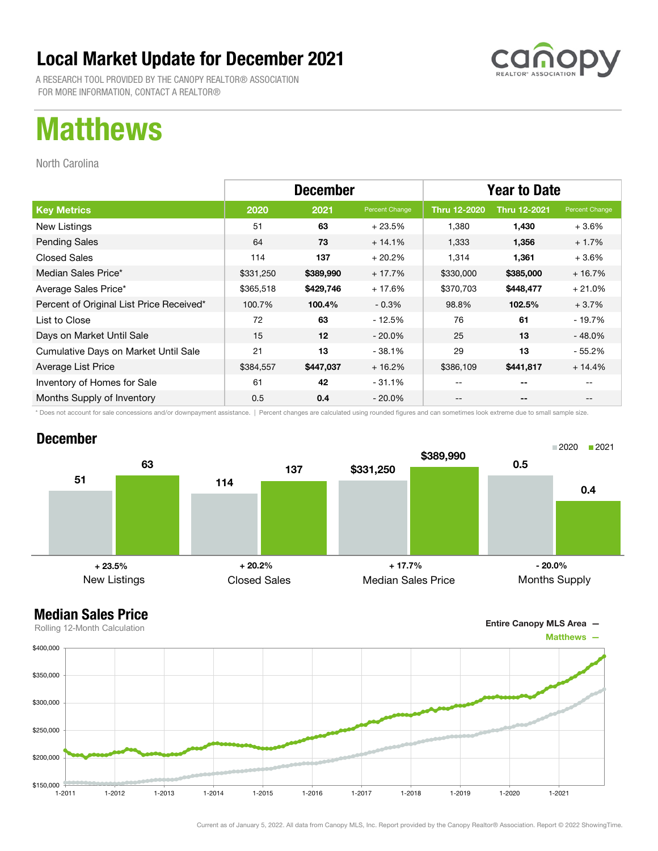A RESEARCH TOOL PROVIDED BY THE CANOPY REALTOR® ASSOCIATION FOR MORE INFORMATION, CONTACT A REALTOR®

## Matthews

North Carolina

|                                          | <b>December</b> |           |                | <b>Year to Date</b> |                     |                |
|------------------------------------------|-----------------|-----------|----------------|---------------------|---------------------|----------------|
| <b>Key Metrics</b>                       | 2020            | 2021      | Percent Change | Thru 12-2020        | <b>Thru 12-2021</b> | Percent Change |
| New Listings                             | 51              | 63        | $+23.5%$       | 1.380               | 1,430               | $+3.6%$        |
| <b>Pending Sales</b>                     | 64              | 73        | $+14.1%$       | 1,333               | 1,356               | $+1.7%$        |
| <b>Closed Sales</b>                      | 114             | 137       | $+20.2%$       | 1,314               | 1,361               | $+3.6%$        |
| Median Sales Price*                      | \$331,250       | \$389,990 | $+17.7%$       | \$330,000           | \$385,000           | $+16.7%$       |
| Average Sales Price*                     | \$365,518       | \$429,746 | $+17.6%$       | \$370,703           | \$448,477           | $+21.0%$       |
| Percent of Original List Price Received* | 100.7%          | 100.4%    | $-0.3%$        | 98.8%               | 102.5%              | $+3.7%$        |
| List to Close                            | 72              | 63        | - 12.5%        | 76                  | 61                  | $-19.7%$       |
| Days on Market Until Sale                | 15              | 12        | $-20.0\%$      | 25                  | 13                  | $-48.0%$       |
| Cumulative Days on Market Until Sale     | 21              | 13        | $-38.1%$       | 29                  | 13                  | $-55.2%$       |
| Average List Price                       | \$384,557       | \$447,037 | $+16.2%$       | \$386,109           | \$441,817           | $+14.4%$       |
| Inventory of Homes for Sale              | 61              | 42        | $-31.1%$       | --                  | --                  |                |
| Months Supply of Inventory               | 0.5             | 0.4       | $-20.0\%$      | --                  | --                  |                |

\* Does not account for sale concessions and/or downpayment assistance. | Percent changes are calculated using rounded figures and can sometimes look extreme due to small sample size.

#### December



#### Median Sales Price

Entire Canopy MLS Area —

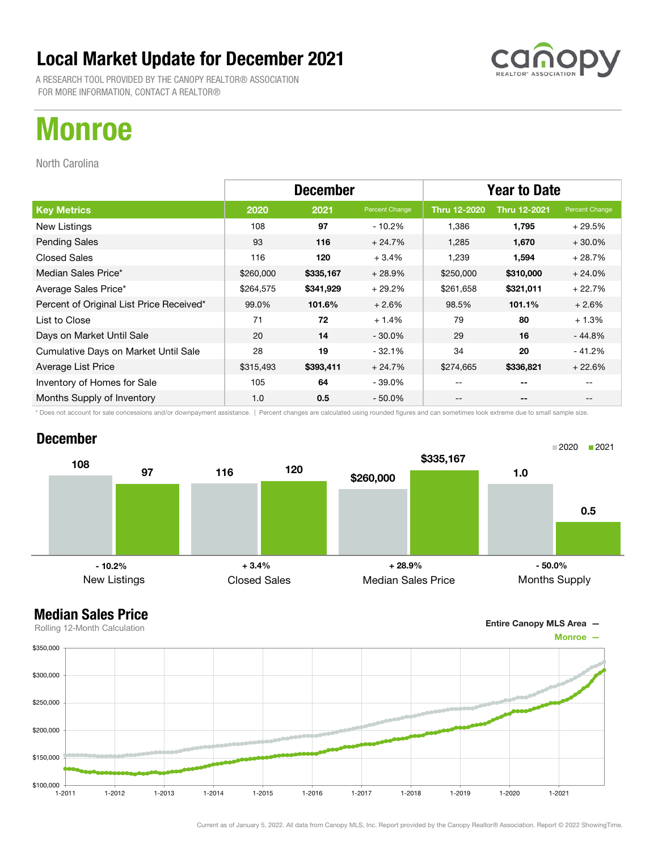A RESEARCH TOOL PROVIDED BY THE CANOPY REALTOR® ASSOCIATION FOR MORE INFORMATION, CONTACT A REALTOR®

## Monroe

North Carolina

|                                          | <b>December</b> |           |                | <b>Year to Date</b> |                     |                |
|------------------------------------------|-----------------|-----------|----------------|---------------------|---------------------|----------------|
| <b>Key Metrics</b>                       | 2020            | 2021      | Percent Change | Thru 12-2020        | <b>Thru 12-2021</b> | Percent Change |
| New Listings                             | 108             | 97        | $-10.2\%$      | 1,386               | 1,795               | $+29.5%$       |
| <b>Pending Sales</b>                     | 93              | 116       | $+24.7%$       | 1,285               | 1,670               | $+30.0%$       |
| <b>Closed Sales</b>                      | 116             | 120       | $+3.4%$        | 1,239               | 1,594               | $+28.7%$       |
| Median Sales Price*                      | \$260,000       | \$335,167 | $+28.9%$       | \$250,000           | \$310,000           | $+24.0%$       |
| Average Sales Price*                     | \$264,575       | \$341,929 | $+29.2%$       | \$261,658           | \$321,011           | $+22.7%$       |
| Percent of Original List Price Received* | 99.0%           | 101.6%    | $+2.6%$        | 98.5%               | 101.1%              | $+2.6%$        |
| List to Close                            | 71              | 72        | $+1.4%$        | 79                  | 80                  | $+1.3%$        |
| Days on Market Until Sale                | 20              | 14        | $-30.0\%$      | 29                  | 16                  | $-44.8%$       |
| Cumulative Days on Market Until Sale     | 28              | 19        | $-32.1%$       | 34                  | 20                  | $-41.2%$       |
| Average List Price                       | \$315,493       | \$393,411 | $+24.7%$       | \$274,665           | \$336,821           | $+22.6%$       |
| Inventory of Homes for Sale              | 105             | 64        | $-39.0\%$      | --                  | --                  |                |
| Months Supply of Inventory               | 1.0             | 0.5       | $-50.0\%$      | --                  | --                  |                |

\* Does not account for sale concessions and/or downpayment assistance. | Percent changes are calculated using rounded figures and can sometimes look extreme due to small sample size.

#### December





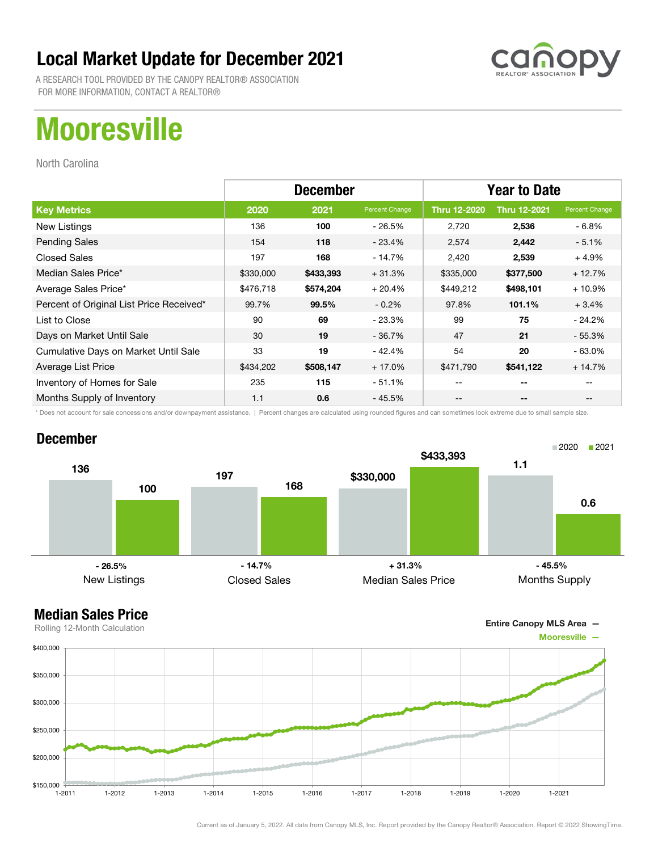A RESEARCH TOOL PROVIDED BY THE CANOPY REALTOR® ASSOCIATION FOR MORE INFORMATION, CONTACT A REALTOR®

## **Mooresville**

North Carolina

|                                          | <b>December</b> |           |                | <b>Year to Date</b> |                     |                |
|------------------------------------------|-----------------|-----------|----------------|---------------------|---------------------|----------------|
| <b>Key Metrics</b>                       | 2020            | 2021      | Percent Change | <b>Thru 12-2020</b> | <b>Thru 12-2021</b> | Percent Change |
| New Listings                             | 136             | 100       | - 26.5%        | 2,720               | 2,536               | - 6.8%         |
| <b>Pending Sales</b>                     | 154             | 118       | - 23.4%        | 2,574               | 2,442               | $-5.1%$        |
| <b>Closed Sales</b>                      | 197             | 168       | - 14.7%        | 2,420               | 2,539               | $+4.9%$        |
| Median Sales Price*                      | \$330,000       | \$433,393 | $+31.3%$       | \$335,000           | \$377,500           | $+12.7%$       |
| Average Sales Price*                     | \$476,718       | \$574,204 | $+20.4%$       | \$449,212           | \$498,101           | $+10.9%$       |
| Percent of Original List Price Received* | 99.7%           | 99.5%     | $-0.2%$        | 97.8%               | 101.1%              | $+3.4%$        |
| List to Close                            | 90              | 69        | $-23.3%$       | 99                  | 75                  | $-24.2\%$      |
| Days on Market Until Sale                | 30              | 19        | $-36.7%$       | 47                  | 21                  | $-55.3%$       |
| Cumulative Days on Market Until Sale     | 33              | 19        | $-42.4%$       | 54                  | 20                  | $-63.0\%$      |
| Average List Price                       | \$434,202       | \$508,147 | $+17.0%$       | \$471,790           | \$541,122           | $+14.7%$       |
| Inventory of Homes for Sale              | 235             | 115       | $-51.1%$       | --                  | --                  |                |
| Months Supply of Inventory               | 1.1             | 0.6       | $-45.5%$       | --                  | --                  |                |

\* Does not account for sale concessions and/or downpayment assistance. | Percent changes are calculated using rounded figures and can sometimes look extreme due to small sample size.

#### December



#### Median Sales Price

Entire Canopy MLS Area —

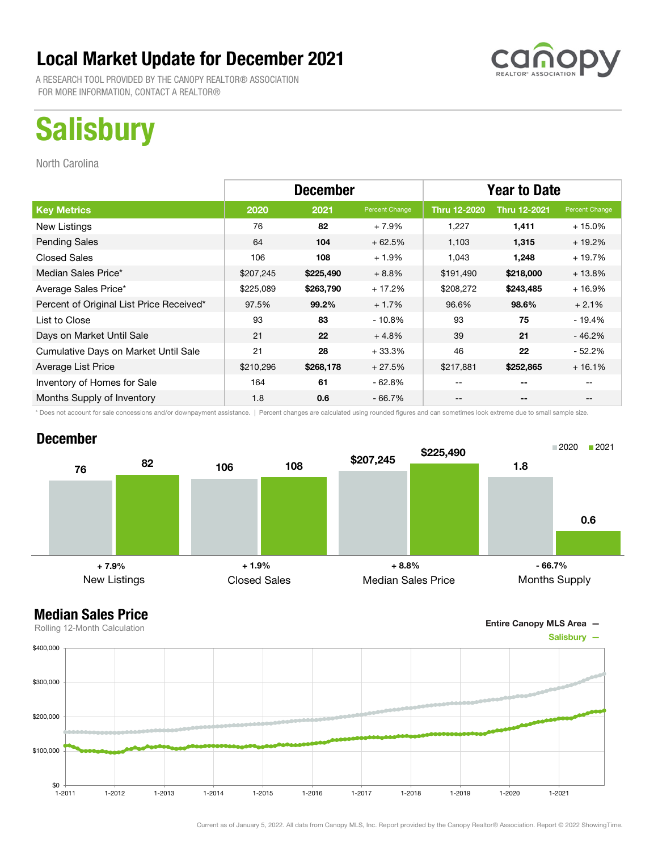A RESEARCH TOOL PROVIDED BY THE CANOPY REALTOR® ASSOCIATION FOR MORE INFORMATION, CONTACT A REALTOR®

# **Salisbury**

North Carolina

|                                          | <b>December</b> |           |                | <b>Year to Date</b> |                          |                |
|------------------------------------------|-----------------|-----------|----------------|---------------------|--------------------------|----------------|
| <b>Key Metrics</b>                       | 2020            | 2021      | Percent Change | <b>Thru 12-2020</b> | <b>Thru 12-2021</b>      | Percent Change |
| New Listings                             | 76              | 82        | $+7.9%$        | 1,227               | 1,411                    | $+15.0%$       |
| <b>Pending Sales</b>                     | 64              | 104       | $+62.5%$       | 1,103               | 1,315                    | $+19.2%$       |
| <b>Closed Sales</b>                      | 106             | 108       | $+1.9%$        | 1,043               | 1,248                    | $+19.7%$       |
| Median Sales Price*                      | \$207,245       | \$225,490 | $+8.8\%$       | \$191,490           | \$218,000                | $+13.8%$       |
| Average Sales Price*                     | \$225,089       | \$263,790 | $+17.2%$       | \$208,272           | \$243,485                | $+16.9%$       |
| Percent of Original List Price Received* | 97.5%           | 99.2%     | $+1.7%$        | 96.6%               | 98.6%                    | $+2.1%$        |
| List to Close                            | 93              | 83        | $-10.8%$       | 93                  | 75                       | $-19.4%$       |
| Days on Market Until Sale                | 21              | 22        | $+4.8%$        | 39                  | 21                       | $-46.2%$       |
| Cumulative Days on Market Until Sale     | 21              | 28        | $+33.3%$       | 46                  | 22                       | $-52.2%$       |
| Average List Price                       | \$210,296       | \$268,178 | $+27.5%$       | \$217,881           | \$252,865                | $+16.1%$       |
| Inventory of Homes for Sale              | 164             | 61        | $-62.8%$       | --                  | --                       |                |
| Months Supply of Inventory               | 1.8             | 0.6       | - 66.7%        | --                  | $\overline{\phantom{a}}$ |                |

\* Does not account for sale concessions and/or downpayment assistance. | Percent changes are calculated using rounded figures and can sometimes look extreme due to small sample size.

#### December





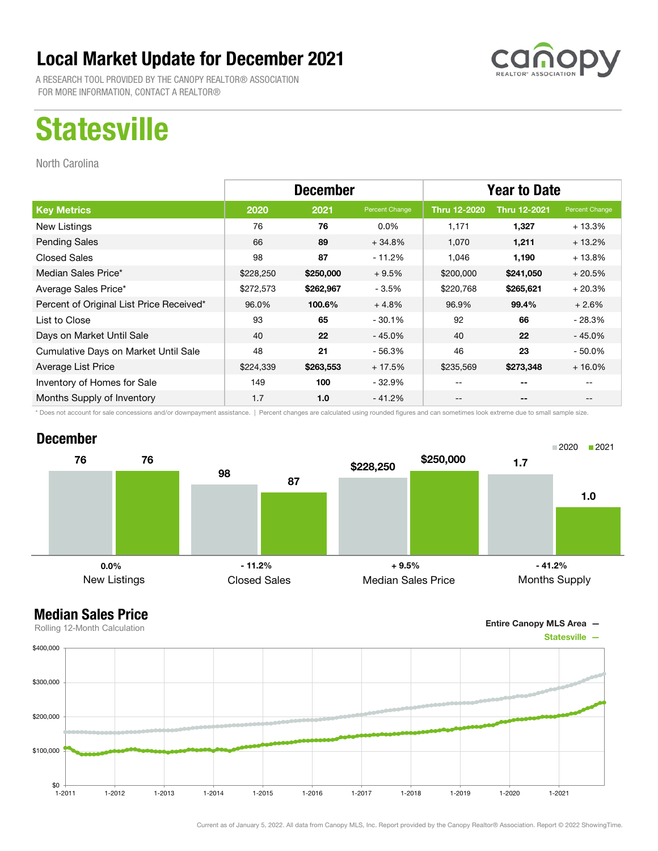A RESEARCH TOOL PROVIDED BY THE CANOPY REALTOR® ASSOCIATION FOR MORE INFORMATION, CONTACT A REALTOR®

## **Statesville**

North Carolina

|                                          | <b>December</b> |           |                | <b>Year to Date</b> |                          |                                       |
|------------------------------------------|-----------------|-----------|----------------|---------------------|--------------------------|---------------------------------------|
| <b>Key Metrics</b>                       | 2020            | 2021      | Percent Change | <b>Thru 12-2020</b> | <b>Thru 12-2021</b>      | Percent Change                        |
| New Listings                             | 76              | 76        | $0.0\%$        | 1,171               | 1,327                    | $+13.3%$                              |
| <b>Pending Sales</b>                     | 66              | 89        | $+34.8%$       | 1,070               | 1,211                    | $+13.2%$                              |
| <b>Closed Sales</b>                      | 98              | 87        | - 11.2%        | 1,046               | 1,190                    | $+13.8%$                              |
| Median Sales Price*                      | \$228,250       | \$250,000 | $+9.5%$        | \$200,000           | \$241,050                | $+20.5%$                              |
| Average Sales Price*                     | \$272,573       | \$262,967 | $-3.5%$        | \$220,768           | \$265,621                | $+20.3%$                              |
| Percent of Original List Price Received* | 96.0%           | 100.6%    | $+4.8%$        | 96.9%               | 99.4%                    | $+2.6%$                               |
| List to Close                            | 93              | 65        | $-30.1%$       | 92                  | 66                       | $-28.3%$                              |
| Days on Market Until Sale                | 40              | 22        | $-45.0%$       | 40                  | 22                       | $-45.0%$                              |
| Cumulative Days on Market Until Sale     | 48              | 21        | - 56.3%        | 46                  | 23                       | $-50.0%$                              |
| Average List Price                       | \$224,339       | \$263,553 | $+17.5%$       | \$235,569           | \$273,348                | $+16.0%$                              |
| Inventory of Homes for Sale              | 149             | 100       | $-32.9%$       | --                  | --                       |                                       |
| Months Supply of Inventory               | 1.7             | 1.0       | $-41.2%$       | --                  | $\overline{\phantom{a}}$ | $\hspace{0.05cm}$ – $\hspace{0.05cm}$ |

\* Does not account for sale concessions and/or downpayment assistance. | Percent changes are calculated using rounded figures and can sometimes look extreme due to small sample size.

#### December



Entire Canopy MLS Area —

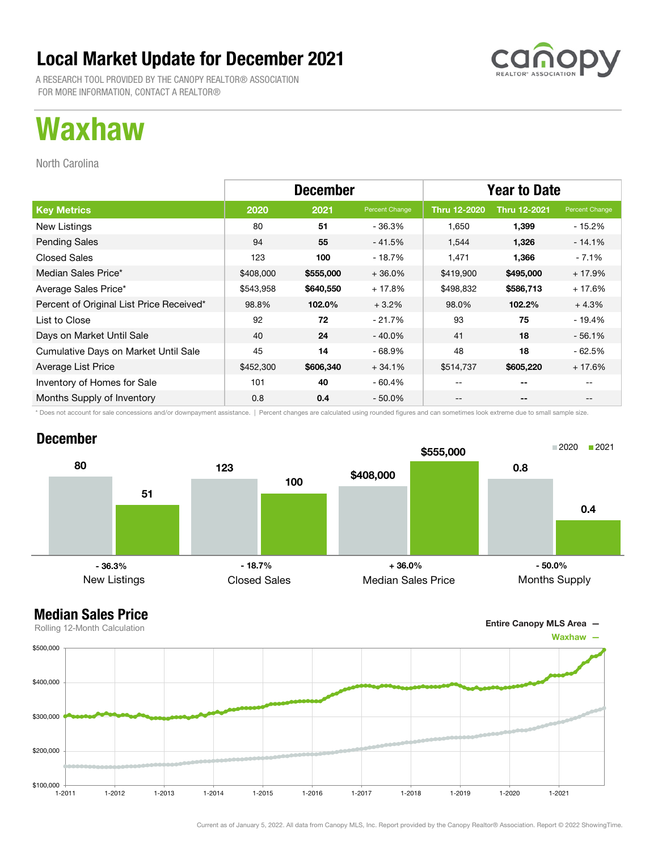A RESEARCH TOOL PROVIDED BY THE CANOPY REALTOR® ASSOCIATION FOR MORE INFORMATION, CONTACT A REALTOR®

## Waxhaw

North Carolina

|                                          | <b>December</b> |           |                | <b>Year to Date</b> |                     |                |
|------------------------------------------|-----------------|-----------|----------------|---------------------|---------------------|----------------|
| <b>Key Metrics</b>                       | 2020            | 2021      | Percent Change | <b>Thru 12-2020</b> | <b>Thru 12-2021</b> | Percent Change |
| New Listings                             | 80              | 51        | - 36.3%        | 1,650               | 1,399               | $-15.2%$       |
| <b>Pending Sales</b>                     | 94              | 55        | $-41.5%$       | 1,544               | 1,326               | $-14.1%$       |
| <b>Closed Sales</b>                      | 123             | 100       | - 18.7%        | 1,471               | 1,366               | - 7.1%         |
| Median Sales Price*                      | \$408,000       | \$555,000 | $+36.0%$       | \$419,900           | \$495,000           | $+17.9%$       |
| Average Sales Price*                     | \$543,958       | \$640,550 | + 17.8%        | \$498,832           | \$586,713           | $+17.6%$       |
| Percent of Original List Price Received* | 98.8%           | 102.0%    | $+3.2%$        | 98.0%               | 102.2%              | $+4.3%$        |
| List to Close                            | 92              | 72        | $-21.7%$       | 93                  | 75                  | $-19.4%$       |
| Days on Market Until Sale                | 40              | 24        | $-40.0\%$      | 41                  | 18                  | $-56.1%$       |
| Cumulative Days on Market Until Sale     | 45              | 14        | $-68.9%$       | 48                  | 18                  | $-62.5%$       |
| Average List Price                       | \$452,300       | \$606,340 | $+34.1%$       | \$514,737           | \$605,220           | $+17.6%$       |
| Inventory of Homes for Sale              | 101             | 40        | $-60.4%$       | --                  | $-$                 |                |
| Months Supply of Inventory               | 0.8             | 0.4       | $-50.0%$       | --                  | --                  | --             |

\* Does not account for sale concessions and/or downpayment assistance. | Percent changes are calculated using rounded figures and can sometimes look extreme due to small sample size.

#### December





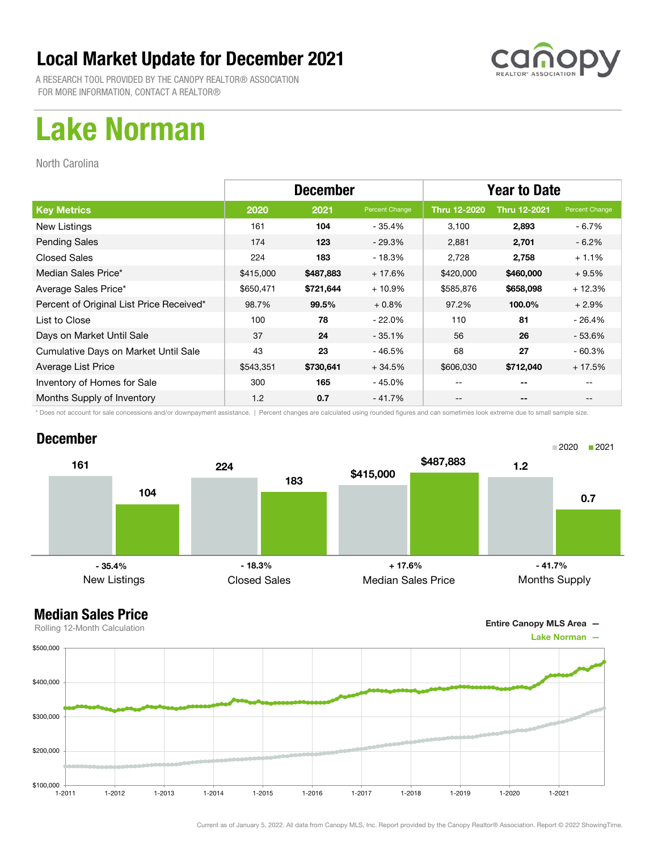

A RESEARCH TOOL PROVIDED BY THE CANOPY REALTOR® ASSOCIATION FOR MORE INFORMATION, CONTACT A REALTOR®

## Lake Norman

North Carolina

|                                          | <b>December</b> |           |                | <b>Year to Date</b> |                     |                |
|------------------------------------------|-----------------|-----------|----------------|---------------------|---------------------|----------------|
| <b>Key Metrics</b>                       | 2020            | 2021      | Percent Change | Thru 12-2020        | <b>Thru 12-2021</b> | Percent Change |
| New Listings                             | 161             | 104       | - 35.4%        | 3,100               | 2,893               | - 6.7%         |
| <b>Pending Sales</b>                     | 174             | 123       | $-29.3%$       | 2,881               | 2,701               | $-6.2\%$       |
| <b>Closed Sales</b>                      | 224             | 183       | $-18.3%$       | 2,728               | 2,758               | $+1.1%$        |
| Median Sales Price*                      | \$415,000       | \$487,883 | $+17.6%$       | \$420,000           | \$460,000           | $+9.5%$        |
| Average Sales Price*                     | \$650,471       | \$721,644 | $+10.9%$       | \$585,876           | \$658,098           | $+12.3%$       |
| Percent of Original List Price Received* | 98.7%           | 99.5%     | $+0.8%$        | 97.2%               | 100.0%              | $+2.9%$        |
| List to Close                            | 100             | 78        | $-22.0%$       | 110                 | 81                  | - 26.4%        |
| Days on Market Until Sale                | 37              | 24        | $-35.1%$       | 56                  | 26                  | - 53.6%        |
| Cumulative Days on Market Until Sale     | 43              | 23        | $-46.5%$       | 68                  | 27                  | $-60.3%$       |
| Average List Price                       | \$543,351       | \$730,641 | $+34.5%$       | \$606,030           | \$712,040           | $+17.5%$       |
| Inventory of Homes for Sale              | 300             | 165       | - 45.0%        | --                  | --                  |                |
| Months Supply of Inventory               | 1.2             | 0.7       | $-41.7%$       | --                  | --                  |                |

\* Does not account for sale concessions and/or downpayment assistance. | Percent changes are calculated using rounded figures and can sometimes look extreme due to small sample size.

#### December



Entire Canopy MLS Area —

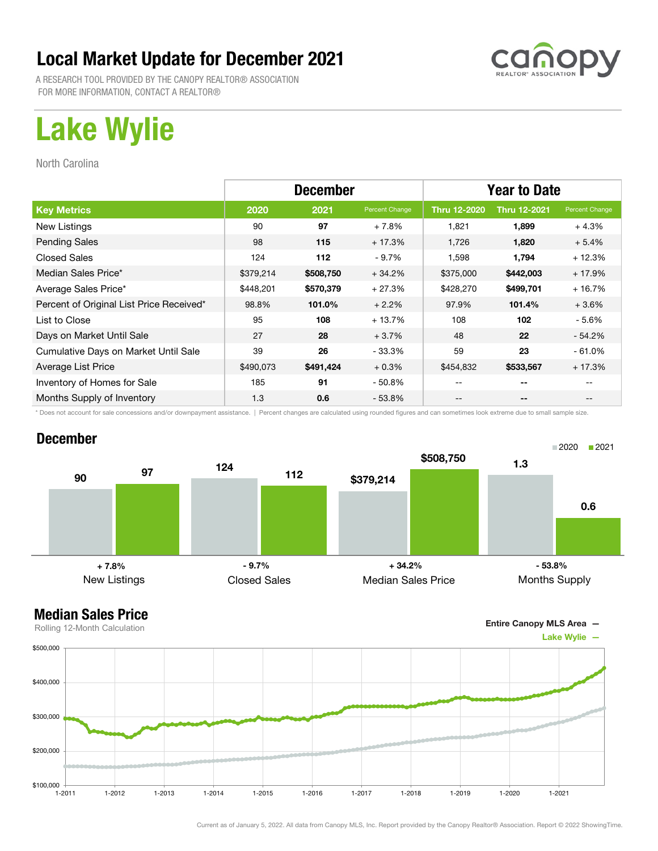A RESEARCH TOOL PROVIDED BY THE CANOPY REALTOR® ASSOCIATION FOR MORE INFORMATION, CONTACT A REALTOR®

# Lake Wylie

North Carolina

|                                          | <b>December</b> |           |                | <b>Year to Date</b> |                     |                |
|------------------------------------------|-----------------|-----------|----------------|---------------------|---------------------|----------------|
| <b>Key Metrics</b>                       | 2020            | 2021      | Percent Change | <b>Thru 12-2020</b> | <b>Thru 12-2021</b> | Percent Change |
| New Listings                             | 90              | 97        | $+7.8%$        | 1,821               | 1,899               | $+4.3%$        |
| <b>Pending Sales</b>                     | 98              | 115       | $+17.3%$       | 1,726               | 1,820               | $+5.4%$        |
| <b>Closed Sales</b>                      | 124             | 112       | $-9.7%$        | 1,598               | 1,794               | $+12.3%$       |
| Median Sales Price*                      | \$379,214       | \$508,750 | $+34.2%$       | \$375,000           | \$442,003           | $+17.9%$       |
| Average Sales Price*                     | \$448,201       | \$570,379 | $+27.3%$       | \$428,270           | \$499,701           | $+16.7%$       |
| Percent of Original List Price Received* | 98.8%           | 101.0%    | $+2.2%$        | 97.9%               | 101.4%              | $+3.6%$        |
| List to Close                            | 95              | 108       | $+13.7%$       | 108                 | 102                 | - 5.6%         |
| Days on Market Until Sale                | 27              | 28        | $+3.7%$        | 48                  | 22                  | $-54.2%$       |
| Cumulative Days on Market Until Sale     | 39              | 26        | $-33.3%$       | 59                  | 23                  | $-61.0%$       |
| Average List Price                       | \$490,073       | \$491,424 | $+0.3%$        | \$454,832           | \$533,567           | $+17.3%$       |
| Inventory of Homes for Sale              | 185             | 91        | $-50.8\%$      | --                  | --                  |                |
| Months Supply of Inventory               | 1.3             | 0.6       | $-53.8%$       | --                  | --                  |                |

\* Does not account for sale concessions and/or downpayment assistance. | Percent changes are calculated using rounded figures and can sometimes look extreme due to small sample size.

#### December



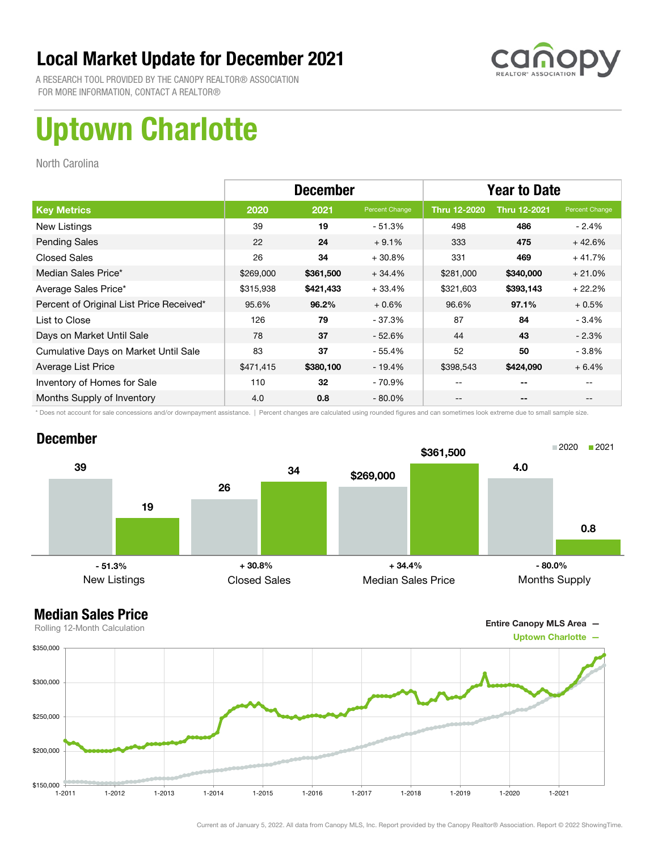

A RESEARCH TOOL PROVIDED BY THE CANOPY REALTOR® ASSOCIATION FOR MORE INFORMATION, CONTACT A REALTOR®

# Uptown Charlotte

North Carolina

|                                          | <b>December</b> |           |                | <b>Year to Date</b> |                     |                |
|------------------------------------------|-----------------|-----------|----------------|---------------------|---------------------|----------------|
| <b>Key Metrics</b>                       | 2020            | 2021      | Percent Change | <b>Thru 12-2020</b> | <b>Thru 12-2021</b> | Percent Change |
| New Listings                             | 39              | 19        | $-51.3%$       | 498                 | 486                 | - 2.4%         |
| <b>Pending Sales</b>                     | 22              | 24        | $+9.1%$        | 333                 | 475                 | $+42.6%$       |
| <b>Closed Sales</b>                      | 26              | 34        | $+30.8%$       | 331                 | 469                 | $+41.7%$       |
| Median Sales Price*                      | \$269,000       | \$361,500 | $+34.4%$       | \$281,000           | \$340,000           | $+21.0%$       |
| Average Sales Price*                     | \$315,938       | \$421,433 | $+33.4%$       | \$321,603           | \$393,143           | $+22.2%$       |
| Percent of Original List Price Received* | 95.6%           | 96.2%     | $+0.6%$        | 96.6%               | 97.1%               | $+0.5%$        |
| List to Close                            | 126             | 79        | $-37.3%$       | 87                  | 84                  | $-3.4%$        |
| Days on Market Until Sale                | 78              | 37        | $-52.6%$       | 44                  | 43                  | $-2.3%$        |
| Cumulative Days on Market Until Sale     | 83              | 37        | - 55.4%        | 52                  | 50                  | $-3.8%$        |
| Average List Price                       | \$471,415       | \$380,100 | $-19.4%$       | \$398,543           | \$424,090           | $+6.4%$        |
| Inventory of Homes for Sale              | 110             | 32        | - 70.9%        | --                  | --                  |                |
| Months Supply of Inventory               | 4.0             | 0.8       | $-80.0\%$      | --                  | --                  |                |

\* Does not account for sale concessions and/or downpayment assistance. | Percent changes are calculated using rounded figures and can sometimes look extreme due to small sample size.

#### December



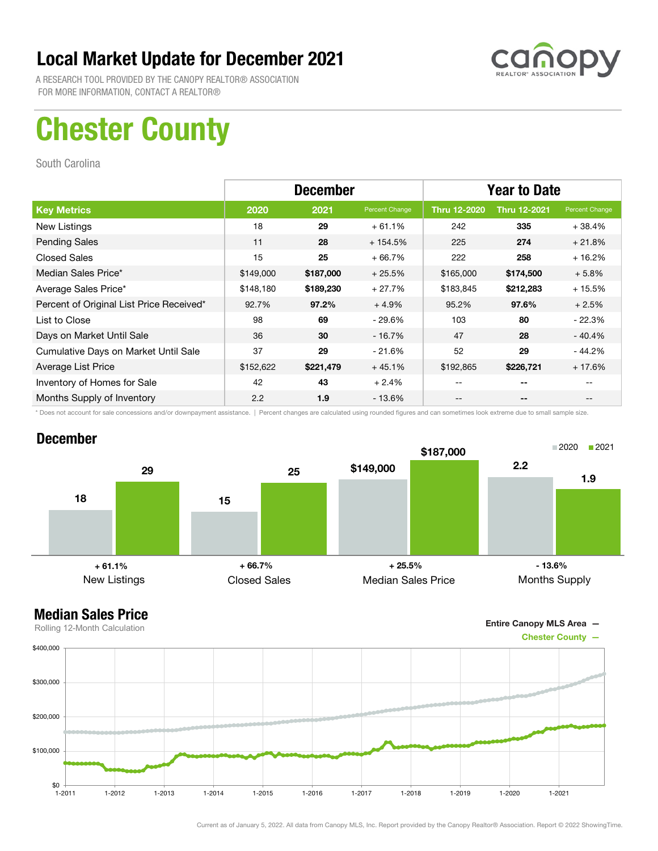

A RESEARCH TOOL PROVIDED BY THE CANOPY REALTOR® ASSOCIATION FOR MORE INFORMATION, CONTACT A REALTOR®

## Chester County

South Carolina

|                                          | <b>December</b> |           |                | <b>Year to Date</b> |                     |                |
|------------------------------------------|-----------------|-----------|----------------|---------------------|---------------------|----------------|
| <b>Key Metrics</b>                       | 2020            | 2021      | Percent Change | <b>Thru 12-2020</b> | <b>Thru 12-2021</b> | Percent Change |
| New Listings                             | 18              | 29        | $+61.1%$       | 242                 | 335                 | $+38.4%$       |
| <b>Pending Sales</b>                     | 11              | 28        | $+154.5%$      | 225                 | 274                 | $+21.8%$       |
| <b>Closed Sales</b>                      | 15              | 25        | $+66.7%$       | 222                 | 258                 | $+16.2%$       |
| Median Sales Price*                      | \$149,000       | \$187,000 | $+25.5%$       | \$165,000           | \$174,500           | $+5.8%$        |
| Average Sales Price*                     | \$148,180       | \$189,230 | $+27.7%$       | \$183,845           | \$212,283           | $+15.5%$       |
| Percent of Original List Price Received* | 92.7%           | 97.2%     | $+4.9%$        | 95.2%               | 97.6%               | $+2.5%$        |
| List to Close                            | 98              | 69        | $-29.6%$       | 103                 | 80                  | $-22.3%$       |
| Days on Market Until Sale                | 36              | 30        | $-16.7\%$      | 47                  | 28                  | $-40.4%$       |
| Cumulative Days on Market Until Sale     | 37              | 29        | $-21.6%$       | 52                  | 29                  | - 44.2%        |
| Average List Price                       | \$152,622       | \$221,479 | $+45.1%$       | \$192,865           | \$226,721           | $+17.6%$       |
| Inventory of Homes for Sale              | 42              | 43        | $+2.4%$        | --                  | --                  |                |
| Months Supply of Inventory               | 2.2             | 1.9       | $-13.6%$       | --                  | --                  |                |

\* Does not account for sale concessions and/or downpayment assistance. | Percent changes are calculated using rounded figures and can sometimes look extreme due to small sample size.

#### December



Entire Canopy MLS Area —

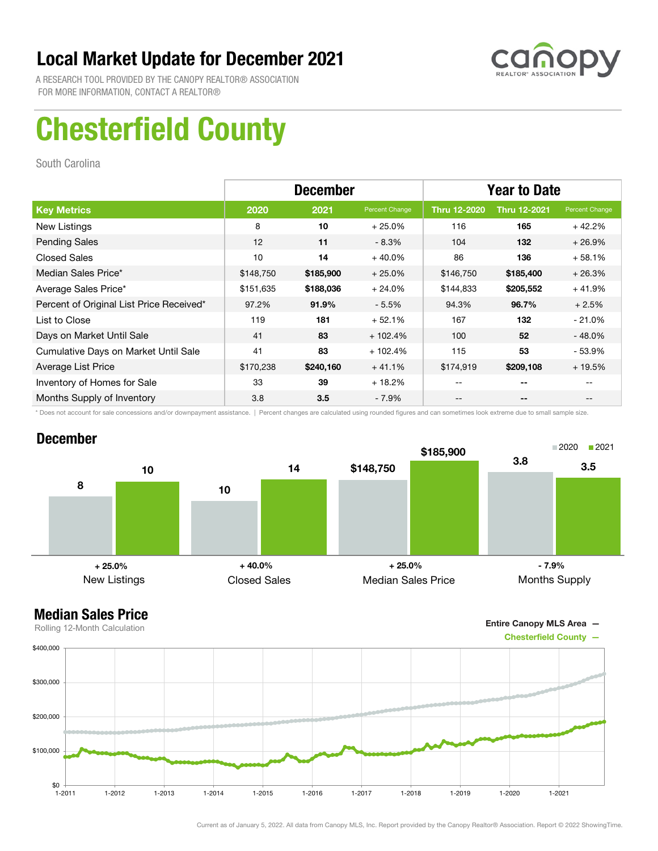

A RESEARCH TOOL PROVIDED BY THE CANOPY REALTOR® ASSOCIATION FOR MORE INFORMATION, CONTACT A REALTOR®

# Chesterfield County

South Carolina

|                                          | <b>December</b> |           |                | <b>Year to Date</b> |                     |                |
|------------------------------------------|-----------------|-----------|----------------|---------------------|---------------------|----------------|
| <b>Key Metrics</b>                       | 2020            | 2021      | Percent Change | <b>Thru 12-2020</b> | <b>Thru 12-2021</b> | Percent Change |
| New Listings                             | 8               | 10        | $+25.0%$       | 116                 | 165                 | $+42.2%$       |
| <b>Pending Sales</b>                     | 12              | 11        | $-8.3%$        | 104                 | 132                 | $+26.9%$       |
| <b>Closed Sales</b>                      | 10              | 14        | $+40.0%$       | 86                  | 136                 | $+58.1%$       |
| Median Sales Price*                      | \$148,750       | \$185,900 | $+25.0%$       | \$146,750           | \$185,400           | $+26.3%$       |
| Average Sales Price*                     | \$151,635       | \$188,036 | $+24.0%$       | \$144,833           | \$205,552           | $+41.9%$       |
| Percent of Original List Price Received* | 97.2%           | 91.9%     | $-5.5%$        | 94.3%               | 96.7%               | $+2.5%$        |
| List to Close                            | 119             | 181       | $+52.1%$       | 167                 | 132                 | $-21.0\%$      |
| Days on Market Until Sale                | 41              | 83        | $+102.4%$      | 100                 | 52                  | $-48.0\%$      |
| Cumulative Days on Market Until Sale     | 41              | 83        | $+102.4%$      | 115                 | 53                  | - 53.9%        |
| Average List Price                       | \$170,238       | \$240,160 | $+41.1%$       | \$174,919           | \$209,108           | $+19.5%$       |
| Inventory of Homes for Sale              | 33              | 39        | $+18.2%$       | --                  | --                  |                |
| Months Supply of Inventory               | 3.8             | 3.5       | $-7.9\%$       | --                  | --                  |                |

\* Does not account for sale concessions and/or downpayment assistance. | Percent changes are calculated using rounded figures and can sometimes look extreme due to small sample size.

#### December



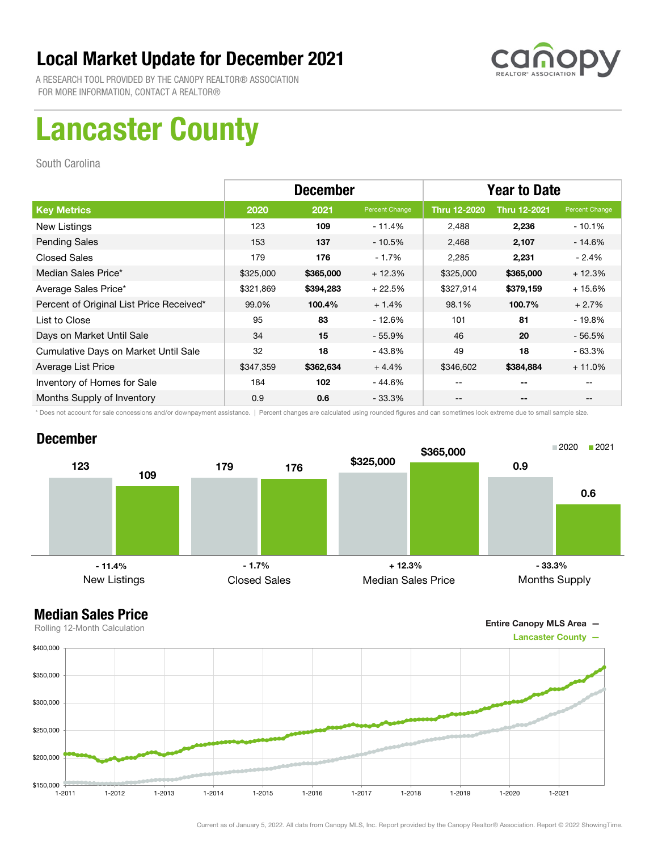

A RESEARCH TOOL PROVIDED BY THE CANOPY REALTOR® ASSOCIATION FOR MORE INFORMATION, CONTACT A REALTOR®

# Lancaster County

South Carolina

|                                          | <b>December</b> |           |                | <b>Year to Date</b> |                     |                |
|------------------------------------------|-----------------|-----------|----------------|---------------------|---------------------|----------------|
| <b>Key Metrics</b>                       | 2020            | 2021      | Percent Change | Thru 12-2020        | <b>Thru 12-2021</b> | Percent Change |
| New Listings                             | 123             | 109       | $-11.4%$       | 2,488               | 2,236               | - 10.1%        |
| <b>Pending Sales</b>                     | 153             | 137       | $-10.5%$       | 2,468               | 2,107               | - 14.6%        |
| <b>Closed Sales</b>                      | 179             | 176       | $-1.7%$        | 2,285               | 2,231               | - 2.4%         |
| Median Sales Price*                      | \$325,000       | \$365,000 | $+12.3%$       | \$325,000           | \$365,000           | $+12.3%$       |
| Average Sales Price*                     | \$321,869       | \$394,283 | $+22.5%$       | \$327,914           | \$379,159           | $+15.6%$       |
| Percent of Original List Price Received* | 99.0%           | 100.4%    | $+1.4%$        | 98.1%               | 100.7%              | $+2.7%$        |
| List to Close                            | 95              | 83        | $-12.6%$       | 101                 | 81                  | $-19.8%$       |
| Days on Market Until Sale                | 34              | 15        | $-55.9\%$      | 46                  | 20                  | $-56.5%$       |
| Cumulative Days on Market Until Sale     | 32              | 18        | $-43.8%$       | 49                  | 18                  | - 63.3%        |
| Average List Price                       | \$347,359       | \$362,634 | $+4.4%$        | \$346,602           | \$384,884           | $+11.0%$       |
| Inventory of Homes for Sale              | 184             | 102       | - 44.6%        | --                  | --                  |                |
| Months Supply of Inventory               | 0.9             | 0.6       | $-33.3\%$      | --                  | --                  |                |

\* Does not account for sale concessions and/or downpayment assistance. | Percent changes are calculated using rounded figures and can sometimes look extreme due to small sample size.

#### December





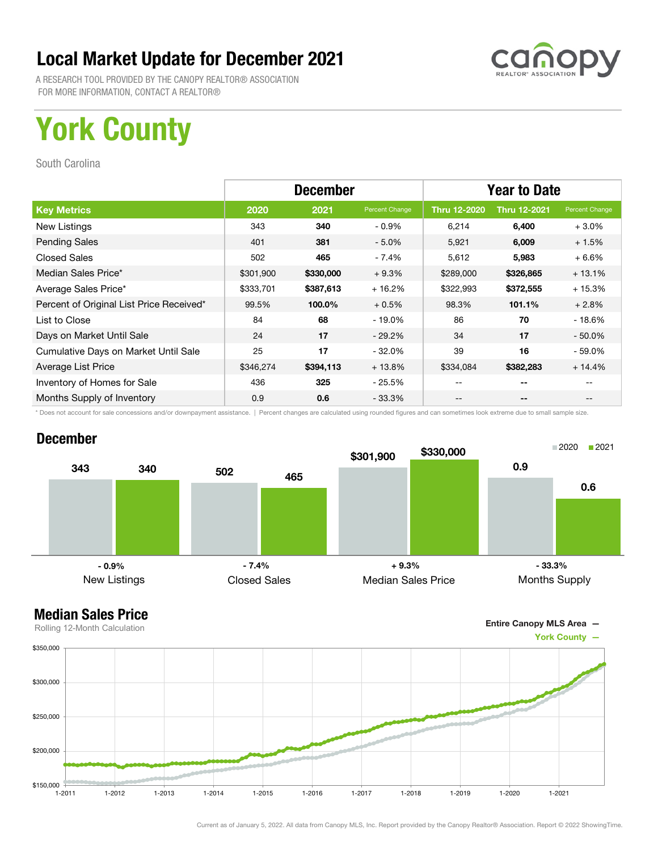

A RESEARCH TOOL PROVIDED BY THE CANOPY REALTOR® ASSOCIATION FOR MORE INFORMATION, CONTACT A REALTOR®

# York County

South Carolina

|                                          | <b>December</b> |           |                | <b>Year to Date</b> |                     |                |
|------------------------------------------|-----------------|-----------|----------------|---------------------|---------------------|----------------|
| <b>Key Metrics</b>                       | 2020            | 2021      | Percent Change | <b>Thru 12-2020</b> | <b>Thru 12-2021</b> | Percent Change |
| New Listings                             | 343             | 340       | $-0.9\%$       | 6,214               | 6,400               | $+3.0%$        |
| <b>Pending Sales</b>                     | 401             | 381       | $-5.0%$        | 5,921               | 6,009               | $+1.5%$        |
| <b>Closed Sales</b>                      | 502             | 465       | $-7.4%$        | 5,612               | 5,983               | $+6.6%$        |
| Median Sales Price*                      | \$301,900       | \$330,000 | $+9.3%$        | \$289,000           | \$326,865           | $+13.1%$       |
| Average Sales Price*                     | \$333,701       | \$387,613 | $+16.2%$       | \$322,993           | \$372,555           | $+15.3%$       |
| Percent of Original List Price Received* | 99.5%           | 100.0%    | $+0.5%$        | 98.3%               | 101.1%              | $+2.8%$        |
| List to Close                            | 84              | 68        | $-19.0\%$      | 86                  | 70                  | $-18.6%$       |
| Days on Market Until Sale                | 24              | 17        | $-29.2\%$      | 34                  | 17                  | $-50.0\%$      |
| Cumulative Days on Market Until Sale     | 25              | 17        | $-32.0%$       | 39                  | 16                  | $-59.0\%$      |
| Average List Price                       | \$346,274       | \$394,113 | $+13.8%$       | \$334,084           | \$382,283           | $+14.4%$       |
| Inventory of Homes for Sale              | 436             | 325       | $-25.5\%$      | --                  | --                  |                |
| Months Supply of Inventory               | 0.9             | 0.6       | - 33.3%        | --                  | --                  |                |

\* Does not account for sale concessions and/or downpayment assistance. | Percent changes are calculated using rounded figures and can sometimes look extreme due to small sample size.

#### December



Entire Canopy MLS Area —

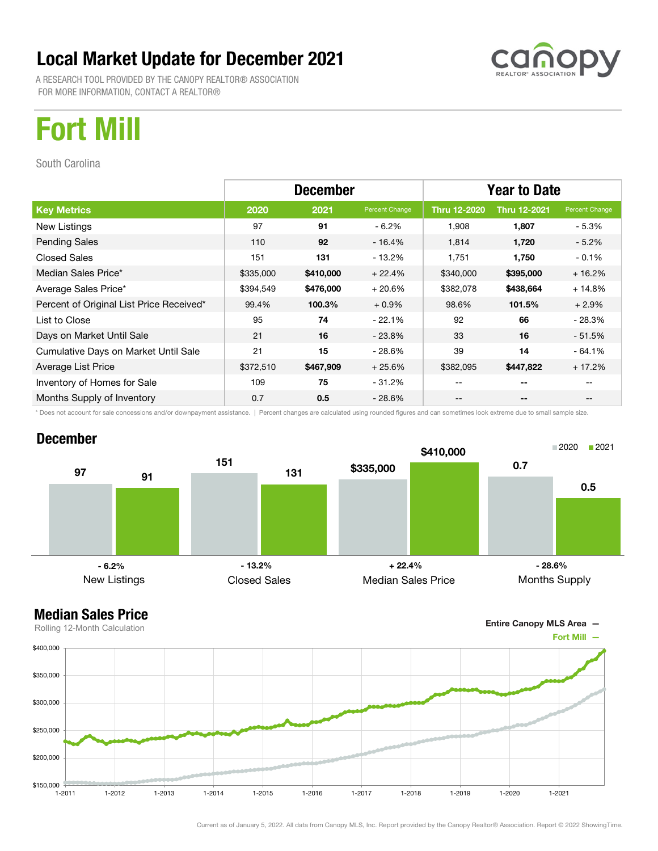A RESEARCH TOOL PROVIDED BY THE CANOPY REALTOR® ASSOCIATION FOR MORE INFORMATION, CONTACT A REALTOR®



## Fort Mill

South Carolina

|                                          | <b>December</b> |           |                | <b>Year to Date</b> |                     |                |
|------------------------------------------|-----------------|-----------|----------------|---------------------|---------------------|----------------|
| <b>Key Metrics</b>                       | 2020            | 2021      | Percent Change | Thru 12-2020        | <b>Thru 12-2021</b> | Percent Change |
| New Listings                             | 97              | 91        | $-6.2%$        | 1,908               | 1,807               | - 5.3%         |
| <b>Pending Sales</b>                     | 110             | 92        | $-16.4%$       | 1,814               | 1,720               | $-5.2\%$       |
| <b>Closed Sales</b>                      | 151             | 131       | - 13.2%        | 1,751               | 1,750               | $-0.1%$        |
| Median Sales Price*                      | \$335,000       | \$410,000 | $+22.4%$       | \$340,000           | \$395,000           | $+16.2%$       |
| Average Sales Price*                     | \$394,549       | \$476,000 | $+20.6%$       | \$382,078           | \$438,664           | $+14.8%$       |
| Percent of Original List Price Received* | 99.4%           | 100.3%    | $+0.9%$        | 98.6%               | 101.5%              | $+2.9%$        |
| List to Close                            | 95              | 74        | $-22.1%$       | 92                  | 66                  | $-28.3%$       |
| Days on Market Until Sale                | 21              | 16        | $-23.8\%$      | 33                  | 16                  | $-51.5%$       |
| Cumulative Days on Market Until Sale     | 21              | 15        | - 28.6%        | 39                  | 14                  | $-64.1%$       |
| Average List Price                       | \$372,510       | \$467,909 | $+25.6%$       | \$382,095           | \$447,822           | $+17.2%$       |
| Inventory of Homes for Sale              | 109             | 75        | $-31.2%$       |                     | --                  |                |
| Months Supply of Inventory               | 0.7             | 0.5       | $-28.6\%$      | --                  | --                  | $- -$          |

\* Does not account for sale concessions and/or downpayment assistance. | Percent changes are calculated using rounded figures and can sometimes look extreme due to small sample size.

#### December



#### Median Sales Price

Entire Canopy MLS Area —

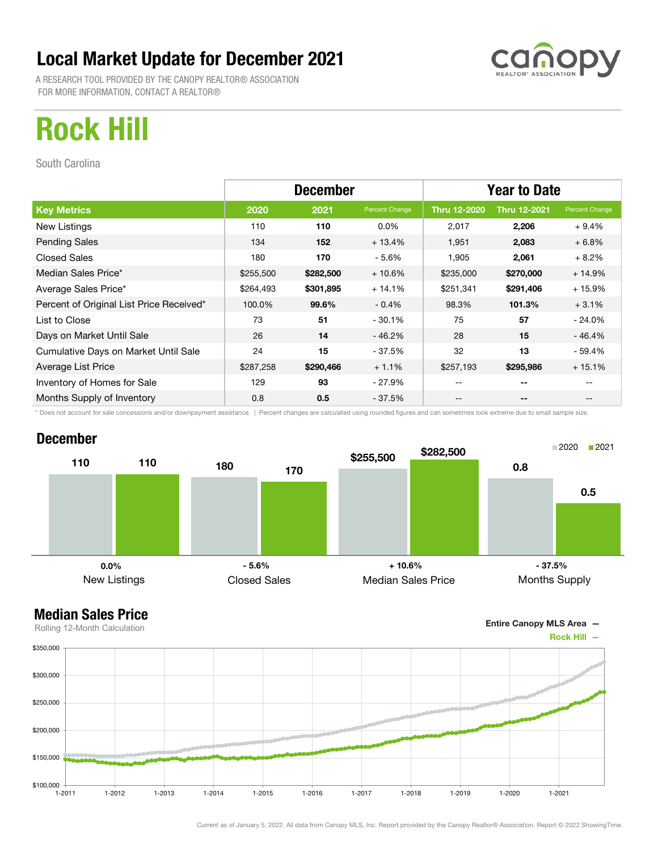A RESEARCH TOOL PROVIDED BY THE CANOPY REALTOR® ASSOCIATION FOR MORE INFORMATION, CONTACT A REALTOR®



## Rock Hill

South Carolina

|                                          | <b>December</b> |           |                | <b>Year to Date</b> |                     |                |  |
|------------------------------------------|-----------------|-----------|----------------|---------------------|---------------------|----------------|--|
| <b>Key Metrics</b>                       | 2020            | 2021      | Percent Change | <b>Thru 12-2020</b> | <b>Thru 12-2021</b> | Percent Change |  |
| New Listings                             | 110             | 110       | $0.0\%$        | 2,017               | 2,206               | $+9.4%$        |  |
| <b>Pending Sales</b>                     | 134             | 152       | $+13.4%$       | 1,951               | 2,083               | $+6.8%$        |  |
| <b>Closed Sales</b>                      | 180             | 170       | $-5.6\%$       | 1,905               | 2,061               | $+8.2%$        |  |
| Median Sales Price*                      | \$255,500       | \$282,500 | $+10.6%$       | \$235,000           | \$270,000           | $+14.9%$       |  |
| Average Sales Price*                     | \$264,493       | \$301,895 | $+14.1%$       | \$251,341           | \$291,406           | $+15.9%$       |  |
| Percent of Original List Price Received* | 100.0%          | 99.6%     | $-0.4%$        | 98.3%               | 101.3%              | $+3.1%$        |  |
| List to Close                            | 73              | 51        | $-30.1%$       | 75                  | 57                  | $-24.0\%$      |  |
| Days on Market Until Sale                | 26              | 14        | $-46.2%$       | 28                  | 15                  | $-46.4%$       |  |
| Cumulative Days on Market Until Sale     | 24              | 15        | $-37.5%$       | 32                  | 13                  | - 59.4%        |  |
| Average List Price                       | \$287,258       | \$290,466 | $+1.1%$        | \$257,193           | \$295,986           | $+15.1%$       |  |
| Inventory of Homes for Sale              | 129             | 93        | - 27.9%        | --                  | --                  |                |  |
| Months Supply of Inventory               | 0.8             | 0.5       | $-37.5%$       | --                  | --                  |                |  |

\* Does not account for sale concessions and/or downpayment assistance. | Percent changes are calculated using rounded figures and can sometimes look extreme due to small sample size.

#### December



Entire Canopy MLS Area —

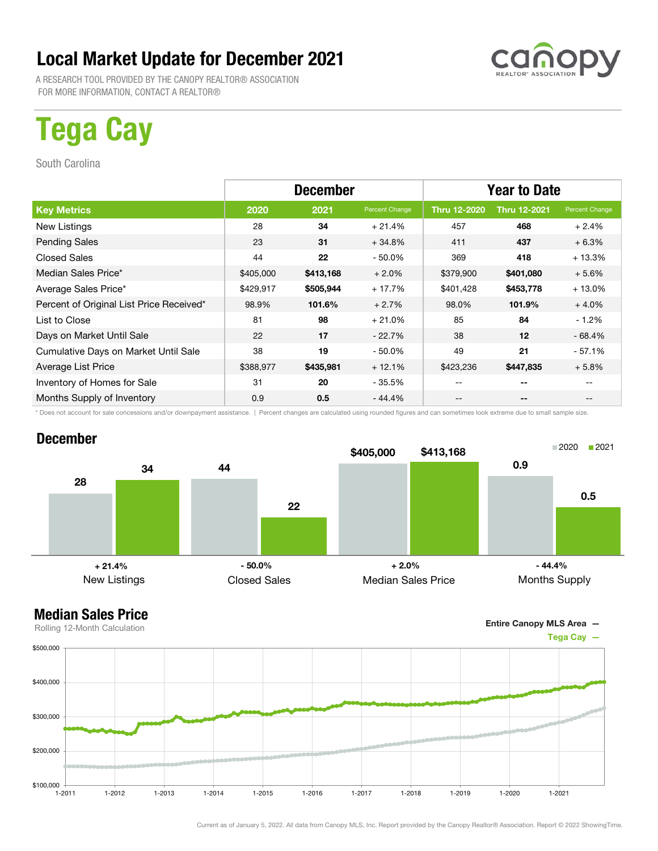A RESEARCH TOOL PROVIDED BY THE CANOPY REALTOR® ASSOCIATION FOR MORE INFORMATION, CONTACT A REALTOR®

# Tega Cay

South Carolina

|                                          | <b>December</b> |           |                | <b>Year to Date</b> |                          |                |  |
|------------------------------------------|-----------------|-----------|----------------|---------------------|--------------------------|----------------|--|
| <b>Key Metrics</b>                       | 2020            | 2021      | Percent Change | <b>Thru 12-2020</b> | <b>Thru 12-2021</b>      | Percent Change |  |
| New Listings                             | 28              | 34        | $+21.4%$       | 457                 | 468                      | $+2.4%$        |  |
| <b>Pending Sales</b>                     | 23              | 31        | $+34.8%$       | 411                 | 437                      | $+6.3%$        |  |
| <b>Closed Sales</b>                      | 44              | 22        | $-50.0\%$      | 369                 | 418                      | $+13.3%$       |  |
| Median Sales Price*                      | \$405,000       | \$413,168 | $+2.0\%$       | \$379,900           | \$401,080                | $+5.6%$        |  |
| Average Sales Price*                     | \$429,917       | \$505,944 | $+17.7%$       | \$401,428           | \$453,778                | $+13.0%$       |  |
| Percent of Original List Price Received* | 98.9%           | 101.6%    | $+2.7%$        | 98.0%               | 101.9%                   | $+4.0%$        |  |
| List to Close                            | 81              | 98        | $+21.0%$       | 85                  | 84                       | $-1.2%$        |  |
| Days on Market Until Sale                | 22              | 17        | $-22.7%$       | 38                  | 12                       | $-68.4%$       |  |
| Cumulative Days on Market Until Sale     | 38              | 19        | $-50.0\%$      | 49                  | 21                       | $-57.1%$       |  |
| Average List Price                       | \$388,977       | \$435,981 | $+12.1%$       | \$423,236           | \$447,835                | $+5.8%$        |  |
| Inventory of Homes for Sale              | 31              | 20        | $-35.5%$       | $- -$               | $- -$                    |                |  |
| Months Supply of Inventory               | 0.9             | 0.5       | $-44.4%$       | --                  | $\overline{\phantom{m}}$ |                |  |

\* Does not account for sale concessions and/or downpayment assistance. | Percent changes are calculated using rounded figures and can sometimes look extreme due to small sample size.

#### December